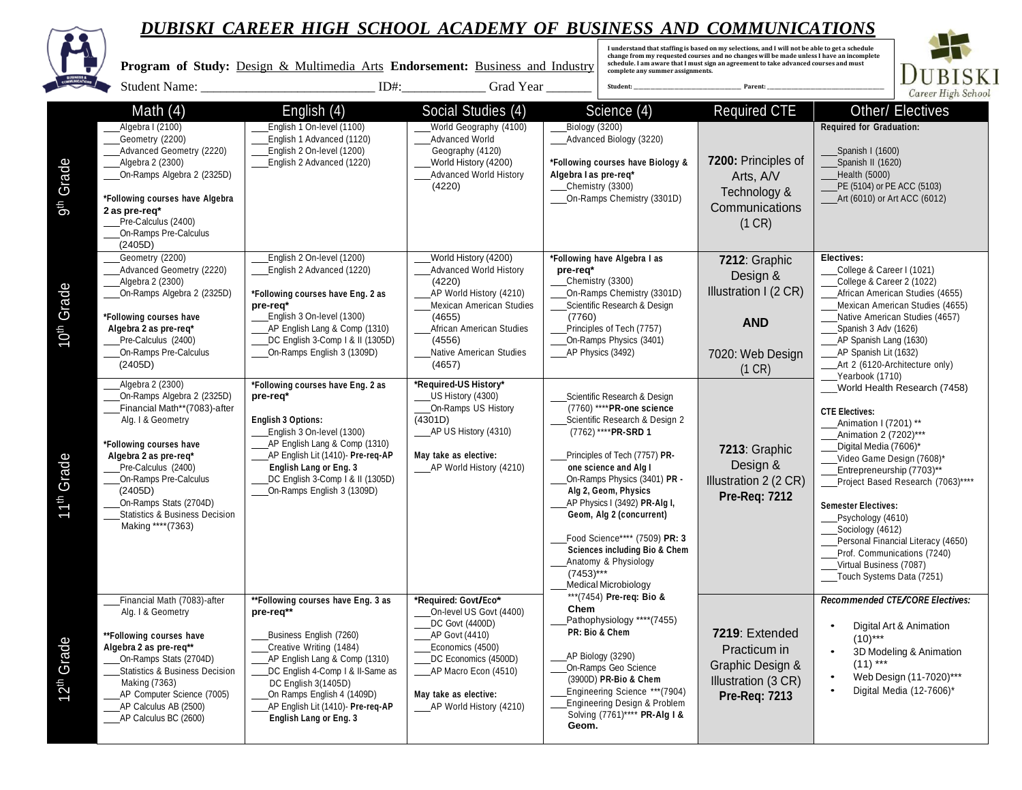

**I understand that staffing is based on my selections, and I will not be able to get a schedule change from my requested courses and no changes will be made unless I have an incomplete schedule. I am aware that I must sign an agreement to take advanced courses and must Program of Study:** Design & Multimedia Arts **Endorsement:** Business and Industry **complete any summer assignments. DUBISKI**  Student Name: \_\_\_\_\_\_\_\_\_\_\_\_\_\_\_\_\_\_\_\_\_\_\_\_\_\_\_ ID#:\_\_\_\_\_\_\_\_\_\_\_\_\_ Grad Year \_\_\_\_\_\_\_ **Student: \_\_\_\_\_\_\_\_\_\_\_\_\_\_\_\_\_\_\_\_\_\_\_\_\_\_\_\_\_\_\_\_\_\_\_\_\_\_\_\_\_\_\_\_\_ Parent: \_\_\_\_\_\_\_\_\_\_\_\_\_\_\_\_\_\_\_\_\_\_\_\_\_\_\_\_\_\_\_\_\_\_\_\_\_\_\_\_\_\_\_\_\_\_\_\_\_**Career High Schoo Math (4) **English (4)** Social Studies (4) Science (4) Required CTE Other/ Electives **Required for Graduation:** Algebra I (2100) English 1 On-level (1100) World Geography (4100) Biology (3200) English 1 Advanced (1120) Advanced World Advanced Biology (3220) Geometry (2200) Advanced Geometry (2220) English 2 On-level (1200) Geography (4120) Spanish I (1600) 9th Grade **7200:** Principles of English 2 Advanced (1220) World History (4200) **\*Following courses have Biology &** Spanish II (1620) Algebra 2 (2300) On-Ramps Algebra 2 (2325D) Advanced World History **Algebra I as pre-req\*** Arts, A/V Health (5000) (4220) Chemistry (3300) PE (5104) or PE ACC (5103) Technology & **\*Following courses have Algebra** On-Ramps Chemistry (3301D) Art (6010) or Art ACC (6012) **Communications 2 as pre-req\*** Pre-Calculus (2400) (1 CR) On-Ramps Pre-Calculus (2405D) Geometry (2200) English 2 On-level (1200) World History (4200) **\*Following have Algebra I as Electives: 7212**: Graphic Advanced Geometry (2220) English 2 Advanced (1220) Advanced World History College & Career I (1021) **pre-req\*** Design & Algebra 2 (2300) (4220) Chemistry (3300) College & Career 2 (1022) 10th Grade Illustration I (2 CR) On-Ramps Algebra 2 (2325D) **\*Following courses have Eng. 2 as** AP World History (4210) On-Ramps Chemistry (3301D) African American Studies (4655) Mexican American Studies Scientific Research & Design Mexican American Studies (4655) **pre-req\* \*Following courses have** English 3 On-level (1300) (4655) (7760) Native American Studies (4657) **AND Algebra 2 as pre-req\*** AP English Lang & Comp (1310) African American Studies Principles of Tech (7757) Spanish 3 Adv (1626) Pre-Calculus (2400) DC English 3-Comp I & II (1305D) On-Ramps Physics (3401) AP Spanish Lang (1630) (4556) On-Ramps Pre-Calculus On-Ramps English 3 (1309D) Native American Studies AP Physics (3492) AP Spanish Lit (1632) 7020: Web Design (2405D) (4657) Art 2 (6120-Architecture only) (1 CR) Yearbook (1710) Algebra 2 (2300) **\*Following courses have Eng. 2 as \*Required-US History\*** \_\_\_World Health Research (7458) On-Ramps Algebra 2 (2325D) **pre-req\*** US History (4300) Scientific Research & Design On-Ramps US History Financial Math\*\*(7083)-after (7760) \*\*\*\***PR-one science CTE Electives:** Alg. I & Geometry **English 3 Options:** (4301D) Scientific Research & Design 2 Animation I (7201) \*\* AP US History (4310) (7762) \*\*\*\***PR-SRD 1** English 3 On-level (1300) Animation 2 (7202)\*\*\* AP English Lang & Comp (1310) **\*Following courses have** Digital Media (7606)\* **7213**: Graphic AP English Lit (1410)- **Pre-req-AP** Principles of Tech (7757) **PR-May take as elective:** 11th Grade **Algebra 2 as pre-req\*** Video Game Design (7608)\* Design & Pre-Calculus (2400) **English Lang or Eng. 3** AP World History (4210) **one science and Alg I** Entrepreneurship (7703)\*\* On-Ramps Pre-Calculus DC English 3-Comp | & || (1305D) On-Ramps Physics (3401) **PR -** Illustration 2 (2 CR) Project Based Research (7063)\*\*\*\* (2405D) On-Ramps English 3 (1309D) **Alg 2, Geom, Physics Pre-Req: 7212** On-Ramps Stats (2704D) AP Physics I (3492) **PR-Alg I, Semester Electives:** Statistics & Business Decision **Geom, Alg 2 (concurrent)** Psychology (4610) Making \*\*\*\*(7363) Sociology (4612) Food Science\*\*\*\* (7509) **PR: 3** Personal Financial Literacy (4650) **Sciences including Bio & Chem** Prof. Communications (7240) Anatomy & Physiology Virtual Business (7087)  $(7453)***$ Touch Systems Data (7251) Medical Microbiology \*\*\*(7454) **Pre-req: Bio & \*\*Following courses have Eng. 3 as \*Required: Govt/Eco\*** *Recommended CTE/CORE Electives:* Financial Math (7083)-after **Chem** Alg. I & Geometry **pre-req\*\*** On-level US Govt (4400) Pathophysiology \*\*\*\*(7455) DC Govt (4400D) • Digital Art & Animation **PR: Bio & Chem 7219**: Extended AP Govt (4410) **\*\*Following courses have** Business English (7260)  $(10)$ \*\*\* 12th Grade **Algebra 2 as pre-req\*\*** Creative Writing (1484) Economics (4500) Practicum in • 3D Modeling & Animation AP Biology (3290) On-Ramps Stats (2704D) AP English Lang & Comp (1310) DC Economics (4500D) Graphic Design &  $(11)$  \*\*\* On-Ramps Geo Science Statistics & Business Decision DC English 4-Comp | & II-Same as AP Macro Econ (4510) • Web Design (11-7020)\*\*\* (3900D) **PR-Bio & Chem** Illustration (3 CR) Making (7363) DC English 3(1405D) Engineering Science \*\*\*(7904) • Digital Media (12-7606)\* AP Computer Science (7005) On Ramps English 4 (1409D) **May take as elective: Pre-Req: 7213** Engineering Design & Problem AP Calculus AB (2500) AP English Lit (1410)- **Pre-req-AP** AP World History (4210) Solving (7761)\*\*\*\* **PR-Alg I &** AP Calculus BC (2600) **English Lang or Eng. 3 Geom.**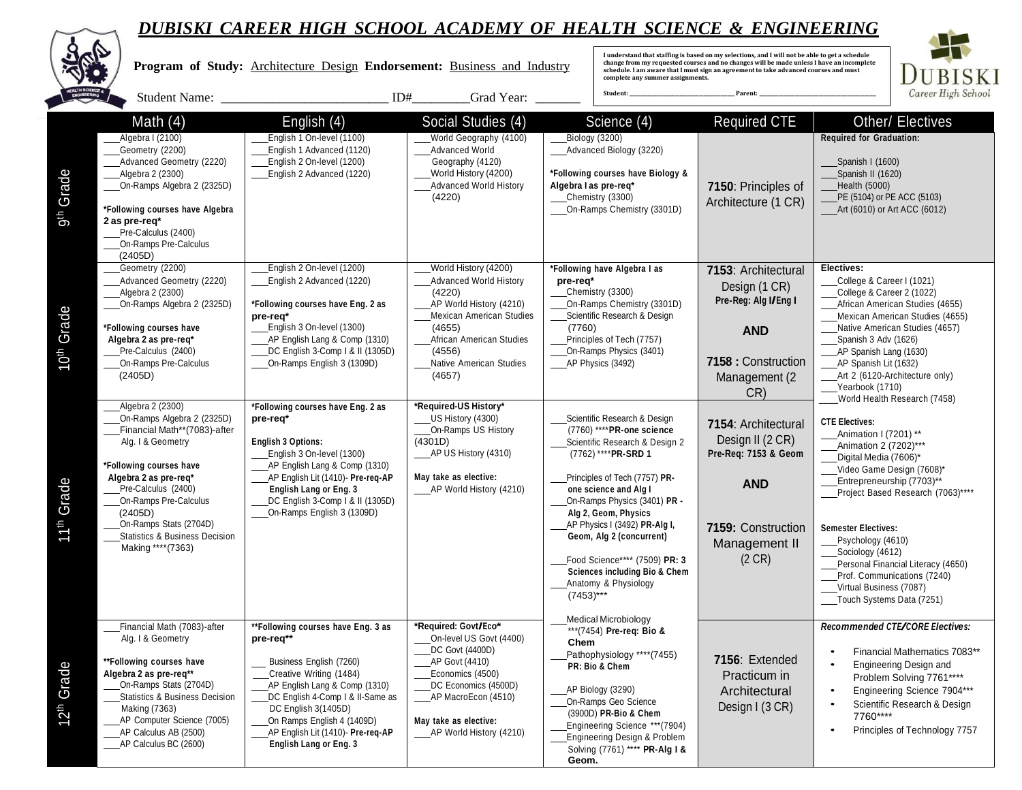|                        |                                                                                                                                                                                                                                                                                                                 | Program of Study: Architecture Design Endorsement: Business and Industry                                                                                                                                                                                                                              | Grad Year:                                                                                                                                                                                                           | complete any summer assignments.<br>Student:                                                                                                                                                                                                                                                                                                                                                                            | I understand that staffing is based on my selections, and I will not be able to get a schedule<br>change from my requested courses and no changes will be made unless I have an incomplete<br>schedule. I am aware that I must sign an agreement to take advanced courses and must<br>Parent | <b>BISKI</b><br>Career High School                                                                                                                                                                                                                                                                                                                                                                      |
|------------------------|-----------------------------------------------------------------------------------------------------------------------------------------------------------------------------------------------------------------------------------------------------------------------------------------------------------------|-------------------------------------------------------------------------------------------------------------------------------------------------------------------------------------------------------------------------------------------------------------------------------------------------------|----------------------------------------------------------------------------------------------------------------------------------------------------------------------------------------------------------------------|-------------------------------------------------------------------------------------------------------------------------------------------------------------------------------------------------------------------------------------------------------------------------------------------------------------------------------------------------------------------------------------------------------------------------|----------------------------------------------------------------------------------------------------------------------------------------------------------------------------------------------------------------------------------------------------------------------------------------------|---------------------------------------------------------------------------------------------------------------------------------------------------------------------------------------------------------------------------------------------------------------------------------------------------------------------------------------------------------------------------------------------------------|
|                        | Math $(4)$                                                                                                                                                                                                                                                                                                      | English (4)                                                                                                                                                                                                                                                                                           | Social Studies (4)                                                                                                                                                                                                   | Science (4)                                                                                                                                                                                                                                                                                                                                                                                                             | <b>Required CTE</b>                                                                                                                                                                                                                                                                          | Other/ Electives                                                                                                                                                                                                                                                                                                                                                                                        |
| Grade<br>gth           | Algebra I (2100)<br>Geometry (2200)<br>Advanced Geometry (2220)<br>_Algebra 2 (2300)<br>On-Ramps Algebra 2 (2325D)<br>*Following courses have Algebra<br>2 as pre-req*<br>Pre-Calculus (2400)<br>On-Ramps Pre-Calculus<br>(2405D)                                                                               | English 1 On-level (1100)<br>English 1 Advanced (1120)<br>English 2 On-level (1200)<br>English 2 Advanced (1220)                                                                                                                                                                                      | World Geography (4100)<br>Advanced World<br>Geography (4120)<br>World History (4200)<br><b>Advanced World History</b><br>(4220)                                                                                      | Biology (3200)<br>Advanced Biology (3220)<br>*Following courses have Biology &<br>Algebra I as pre-req*<br>Chemistry (3300)<br>On-Ramps Chemistry (3301D)                                                                                                                                                                                                                                                               | 7150: Principles of<br>Architecture (1 CR)                                                                                                                                                                                                                                                   | <b>Required for Graduation:</b><br>Spanish I (1600)<br>Spanish II (1620)<br>Health (5000)<br>PE (5104) or PE ACC (5103)<br>____Art (6010) or Art ACC (6012)                                                                                                                                                                                                                                             |
| Grade<br><b>B</b>      | Geometry (2200)<br>Advanced Geometry (2220)<br>_Algebra 2 (2300)<br>On-Ramps Algebra 2 (2325D)<br>*Following courses have<br>Algebra 2 as pre-req*<br>Pre-Calculus (2400)<br>On-Ramps Pre-Calculus<br>(2405D)                                                                                                   | English 2 On-level (1200)<br>English 2 Advanced (1220)<br>*Following courses have Eng. 2 as<br>pre-req*<br>English 3 On-level (1300)<br>AP English Lang & Comp (1310)<br>DC English 3-Comp   & II (1305D)<br>On-Ramps English 3 (1309D)                                                               | World History (4200)<br><b>Advanced World History</b><br>(4220)<br>AP World History (4210)<br>Mexican American Studies<br>(4655)<br>African American Studies<br>(4556)<br>Native American Studies<br>(4657)          | *Following have Algebra I as<br>pre-req*<br>Chemistry (3300)<br>On-Ramps Chemistry (3301D)<br>Scientific Research & Design<br>(7760)<br>Principles of Tech (7757)<br>On-Ramps Physics (3401)<br>AP Physics (3492)                                                                                                                                                                                                       | 7153: Architectural<br>Design (1 CR)<br>Pre-Reg: Alg I/Eng I<br><b>AND</b><br>7158 : Construction<br>Management (2<br>CR)                                                                                                                                                                    | Electives:<br>College & Career I (1021)<br>College & Career 2 (1022)<br>African American Studies (4655)<br>Mexican American Studies (4655)<br>Native American Studies (4657)<br>Spanish 3 Adv (1626)<br>____AP Spanish Lang (1630)<br>____AP Spanish Lit (1632)<br>Art 2 (6120-Architecture only)<br>Yearbook (1710)<br>World Health Research (7458)                                                    |
| Grade<br><b>11th</b>   | Algebra 2 (2300)<br>On-Ramps Algebra 2 (2325D)<br>Financial Math**(7083)-after<br>Alg. I & Geometry<br>*Following courses have<br>Algebra 2 as pre-req*<br>Pre-Calculus (2400)<br>On-Ramps Pre-Calculus<br>(2405D)<br>On-Ramps Stats (2704D)<br><b>Statistics &amp; Business Decision</b><br>Making **** (7363) | *Following courses have Eng. 2 as<br>pre-req*<br><b>English 3 Options:</b><br>English 3 On-level (1300)<br>AP English Lang & Comp (1310)<br>AP English Lit (1410)- Pre-req-AP<br><b>English Lang or Eng. 3</b><br>DC English 3-Comp   & II (1305D)<br>On-Ramps English 3 (1309D)                      | *Required-US History*<br>US History (4300)<br>On-Ramps US History<br>(4301D)<br>__AP US History (4310)<br>May take as elective:<br>_____ AP World History (4210)                                                     | Scientific Research & Design<br>(7760) **** PR-one science<br>Scientific Research & Design 2<br>(7762) **** PR-SRD 1<br>Principles of Tech (7757) PR-<br>one science and Alg I<br>On-Ramps Physics (3401) PR -<br>Alg 2, Geom, Physics<br>AP Physics I (3492) PR-Alg I,<br>Geom, Alg 2 (concurrent)<br>Food Science**** (7509) PR: 3<br><b>Sciences including Bio &amp; Chem</b><br>Anatomy & Physiology<br>$(7453)***$ | 7154: Architectural<br>Design II (2 CR)<br>Pre-Req: 7153 & Geom<br><b>AND</b><br>7159: Construction<br>Management II<br>(2 CR)                                                                                                                                                               | <b>CTE Electives:</b><br>Animation I (7201) **<br>Animation 2 (7202)***<br>Digital Media (7606)*<br>Video Game Design (7608)*<br>Entrepreneurship (7703)**<br>Project Based Research (7063)****<br><b>Semester Electives:</b><br>Psychology (4610)<br>____Sociology (4612)<br>Personal Financial Literacy (4650)<br>Prof. Communications (7240)<br>Virtual Business (7087)<br>Touch Systems Data (7251) |
| 12 <sup>th</sup> Grade | Financial Math (7083)-after<br>Alg. I & Geometry<br>**Following courses have<br>Algebra 2 as pre-req**<br>On-Ramps Stats (2704D)<br>____Statistics & Business Decision<br>Making (7363)<br>_AP Computer Science (7005)<br>AP Calculus AB (2500)<br>AP Calculus BC (2600)                                        | **Following courses have Eng. 3 as<br>pre-req**<br>Business English (7260)<br>Creative Writing (1484)<br>AP English Lang & Comp (1310)<br>DC English 4-Comp   & II-Same as<br>DC English 3(1405D)<br>On Ramps English 4 (1409D)<br>AP English Lit (1410)- Pre-reg-AP<br><b>English Lang or Eng. 3</b> | *Required: Govt/Eco*<br>On-level US Govt (4400)<br>_DC Govt (4400D)<br>AP Govt (4410)<br>Economics (4500)<br>DC Economics (4500D)<br>____AP MacroEcon (4510)<br>May take as elective:<br>____AP World History (4210) | <b>Medical Microbiology</b><br>*** (7454) Pre-req: Bio &<br>Chem<br>Pathophysiology **** (7455)<br>PR: Bio & Chem<br>AP Biology (3290)<br>On-Ramps Geo Science<br>(3900D) PR-Bio & Chem<br>Engineering Science *** (7904)<br>Engineering Design & Problem<br>Solving (7761) **** PR-Alg I &<br>Geom.                                                                                                                    | 7156: Extended<br>Practicum in<br>Architectural<br>Design I (3 CR)                                                                                                                                                                                                                           | Recommended CTE/CORE Electives:<br>Financial Mathematics 7083**<br><b>Engineering Design and</b><br>Problem Solving 7761****<br>Engineering Science 7904***<br>Scientific Research & Design<br>7760****<br>Principles of Technology 7757                                                                                                                                                                |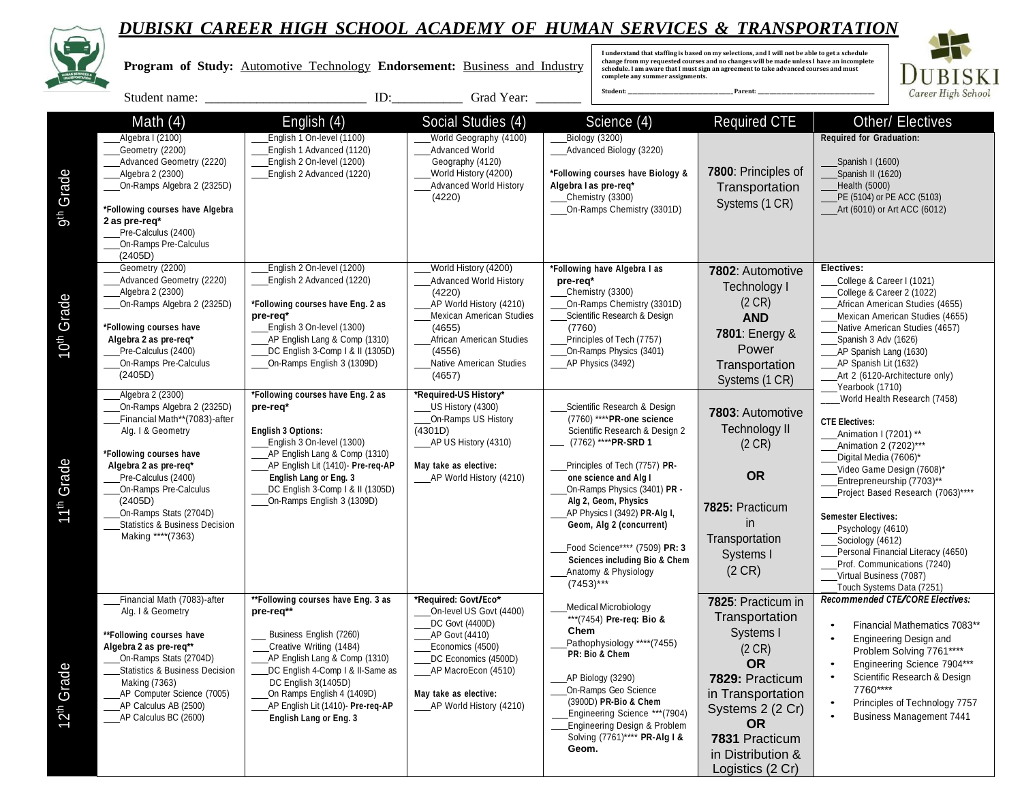**Program of Study:** Automotive Technology **Endorsement:** Business and Industry

I understand that staffing is based on my selections, and I will not be able to get a schedule<br>change from my requested courses and no changes will be made unless I have an incomplete<br>schedule. I am aware that I must sign **complete any summer assignments.** 



|                        | Student name:                                                                                                                                                                                                                                                                                                   | ID:                                                                                                                                                                                                                                                                                            | Grad Year:                                                                                                                                                                                                           | Student:                                                                                                                                                                                                                                                                                                                                                                                                                | Parent:                                                                                                                                                                                                      | Career High School                                                                                                                                                                                                                                                                                                                                                                                                                  |
|------------------------|-----------------------------------------------------------------------------------------------------------------------------------------------------------------------------------------------------------------------------------------------------------------------------------------------------------------|------------------------------------------------------------------------------------------------------------------------------------------------------------------------------------------------------------------------------------------------------------------------------------------------|----------------------------------------------------------------------------------------------------------------------------------------------------------------------------------------------------------------------|-------------------------------------------------------------------------------------------------------------------------------------------------------------------------------------------------------------------------------------------------------------------------------------------------------------------------------------------------------------------------------------------------------------------------|--------------------------------------------------------------------------------------------------------------------------------------------------------------------------------------------------------------|-------------------------------------------------------------------------------------------------------------------------------------------------------------------------------------------------------------------------------------------------------------------------------------------------------------------------------------------------------------------------------------------------------------------------------------|
| Grade<br>gth           | Math $(4)$<br>Algebra I (2100)<br>Geometry (2200)<br>Advanced Geometry (2220)<br>_Algebra 2 (2300)<br>On-Ramps Algebra 2 (2325D)<br>*Following courses have Algebra<br>2 as pre-req*<br>Pre-Calculus (2400)<br>On-Ramps Pre-Calculus<br>(2405D)                                                                 | English (4)<br>English 1 On-level (1100)<br>English 1 Advanced (1120)<br>English 2 On-level (1200)<br>English 2 Advanced (1220)                                                                                                                                                                | Social Studies (4)<br>World Geography (4100)<br>Advanced World<br>Geography (4120)<br>World History (4200)<br><b>Advanced World History</b><br>(4220)                                                                | Science $\overline{(4)}$<br>Biology (3200)<br>_Advanced Biology (3220)<br>*Following courses have Biology &<br>Algebra I as pre-req*<br>Chemistry (3300)<br>On-Ramps Chemistry (3301D)                                                                                                                                                                                                                                  | <b>Required CTE</b><br>7800: Principles of<br>Transportation<br>Systems (1 CR)                                                                                                                               | Other/ Electives<br><b>Required for Graduation:</b><br>Spanish I (1600)<br>Spanish II (1620)<br>Health (5000)<br>PE (5104) or PE ACC (5103)<br>____Art (6010) or Art ACC (6012)                                                                                                                                                                                                                                                     |
| 10 <sup>th</sup> Grade | Geometry (2200)<br>Advanced Geometry (2220)<br>Algebra 2 (2300)<br>On-Ramps Algebra 2 (2325D)<br>*Following courses have<br>Algebra 2 as pre-req*<br>Pre-Calculus (2400)<br>On-Ramps Pre-Calculus<br>(2405D)                                                                                                    | English 2 On-level (1200)<br>English 2 Advanced (1220)<br>*Following courses have Eng. 2 as<br>pre-req*<br>English 3 On-level (1300)<br>AP English Lang & Comp (1310)<br>DC English 3-Comp   & II (1305D)<br>On-Ramps English 3 (1309D)                                                        | World History (4200)<br><b>Advanced World History</b><br>(4220)<br>AP World History (4210)<br>Mexican American Studies<br>(4655)<br>African American Studies<br>(4556)<br>Native American Studies<br>(4657)          | *Following have Algebra I as<br>pre-req*<br>Chemistry (3300)<br>On-Ramps Chemistry (3301D)<br>Scientific Research & Design<br>(7760)<br>Principles of Tech (7757)<br>On-Ramps Physics (3401)<br>AP Physics (3492)                                                                                                                                                                                                       | 7802: Automotive<br>Technology I<br>$(2 \text{ CR})$<br><b>AND</b><br>7801: Energy &<br>Power<br>Transportation<br>Systems (1 CR)                                                                            | Electives:<br>College & Career I (1021)<br>College & Career 2 (1022)<br>African American Studies (4655)<br>Mexican American Studies (4655)<br>Native American Studies (4657)<br>Spanish 3 Adv (1626)<br>____AP Spanish Lang (1630)<br>AP Spanish Lit (1632)<br>Art 2 (6120-Architecture only)<br>Yearbook (1710)                                                                                                                    |
| 11 <sup>th</sup> Grade | Algebra 2 (2300)<br>On-Ramps Algebra 2 (2325D)<br>Financial Math**(7083)-after<br>Alg. I & Geometry<br>*Following courses have<br>Algebra 2 as pre-req*<br>Pre-Calculus (2400)<br>On-Ramps Pre-Calculus<br>(2405D)<br>On-Ramps Stats (2704D)<br><b>Statistics &amp; Business Decision</b><br>Making **** (7363) | *Following courses have Eng. 2 as<br>pre-req*<br><b>English 3 Options:</b><br>English 3 On-level (1300)<br>AP English Lang & Comp (1310)<br>AP English Lit (1410)- Pre-req-AP<br>English Lang or Eng. 3<br>DC English 3-Comp   & II (1305D)<br>On-Ramps English 3 (1309D)                      | *Required-US History*<br>US History (4300)<br>On-Ramps US History<br>(4301D)<br>____AP US History (4310)<br>May take as elective:<br>AP World History (4210)                                                         | Scientific Research & Design<br>(7760) **** PR-one science<br>Scientific Research & Design 2<br>(7762) **** PR-SRD 1<br>Principles of Tech (7757) PR-<br>one science and Alg I<br>On-Ramps Physics (3401) PR -<br>Alg 2, Geom, Physics<br>AP Physics I (3492) PR-Alg I,<br>Geom, Alg 2 (concurrent)<br>Food Science**** (7509) PR: 3<br><b>Sciences including Bio &amp; Chem</b><br>Anatomy & Physiology<br>$(7453)***$ | 7803: Automotive<br><b>Technology II</b><br>(2 CR)<br><b>OR</b><br>7825: Practicum<br>in<br>Transportation<br>Systems I<br>$(2 \text{ CR})$                                                                  | World Health Research (7458)<br><b>CTE Electives:</b><br>Animation I (7201) **<br>Animation 2 (7202)***<br>Digital Media (7606)*<br>Video Game Design (7608)*<br>Entrepreneurship (7703)**<br>Project Based Research (7063)****<br><b>Semester Electives:</b><br>Psychology (4610)<br>Sociology (4612)<br>Personal Financial Literacy (4650)<br>Prof. Communications (7240)<br>Virtual Business (7087)<br>Touch Systems Data (7251) |
| 12 <sup>th</sup> Grade | Financial Math (7083)-after<br>Alg. I & Geometry<br>**Following courses have<br>Algebra 2 as pre-req**<br>On-Ramps Stats (2704D)<br>Statistics & Business Decision<br>Making (7363)<br>AP Computer Science (7005)<br>AP Calculus AB (2500)<br>AP Calculus BC (2600)                                             | **Following courses have Eng. 3 as<br>pre-req**<br>Business English (7260)<br>Creative Writing (1484)<br>AP English Lang & Comp (1310)<br>DC English 4-Comp   & II-Same as<br>DC English 3(1405D)<br>On Ramps English 4 (1409D)<br>AP English Lit (1410)- Pre-reg-AP<br>English Lang or Eng. 3 | *Reauired: Govt/Eco*<br>On-level US Govt (4400)<br>DC Govt (4400D)<br>AP Govt (4410)<br>Economics (4500)<br>DC Economics (4500D)<br>___AP MacroEcon (4510)<br>May take as elective:<br>_____ AP World History (4210) | Medical Microbiology<br>*** (7454) Pre-req: Bio &<br>Chem<br>Pathophysiology **** (7455)<br>PR: Bio & Chem<br>AP Biology (3290)<br>On-Ramps Geo Science<br>(3900D) PR-Bio & Chem<br>Engineering Science *** (7904)<br>Engineering Design & Problem<br>Solving (7761)**** PR-Alg I &<br>Geom.                                                                                                                            | 7825: Practicum in<br>Transportation<br>Systems I<br>(2 CR)<br><b>OR</b><br>7829: Practicum<br>in Transportation<br>Systems 2 (2 Cr)<br><b>OR</b><br>7831 Practicum<br>in Distribution &<br>Logistics (2 Cr) | Recommended CTE/CORE Electives:<br>Financial Mathematics 7083**<br>Engineering Design and<br>Problem Solving 7761****<br>Engineering Science 7904***<br>Scientific Research & Design<br>7760****<br>Principles of Technology 7757<br><b>Business Management 7441</b>                                                                                                                                                                |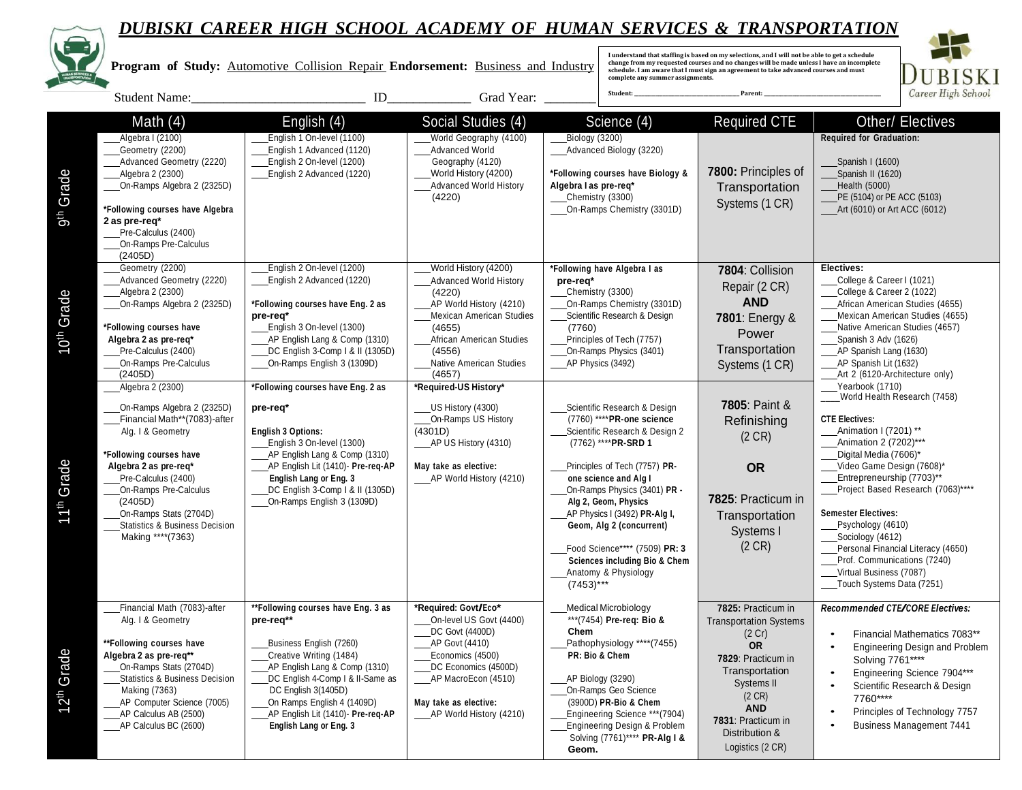

9th Grade

10th Grade

11th Grade

12th Grade

## *DUBISKI CAREER HIGH SCHOOL ACADEMY OF HUMAN SERVICES & TRANSPORTATION*

Spanish I (1600) Spanish II (1620) Health (5000)

Yearbook (1710)

Enamation 2 (7202)\*\*\*

\_\_\_\_World Health Research (7458)

• Financial Mathematics 7083\*\* • Engineering Design and Problem

• Engineering Science 7904\*\*\* Scientific Research & Design

Principles of Technology 7757 • Business Management <sup>7441</sup>

Solving 7761\*\*\*\*

7760\*\*\*\*

PE (5104) or PE ACC (5103) Art (6010) or Art ACC (6012)

DUBISKI Career High School

 **Program of Study:** Automotive Collision Repair **Endorsement:** Business and Industry Student Name: The Student Name: The Student Name:  $\Box$  and Student Name:  $\Box$  Grad Year:  $\Box$ Math (4) English (4) Social Studies (4) Science (4) Required CTE Other/ Electives Algebra I (2100) Geometry (2200) Advanced Geometry (2220) Algebra 2 (2300) On-Ramps Algebra 2 (2325D) **\*Following courses have Algebra 2 as pre-req\*** Pre-Calculus (2400) On-Ramps Pre-Calculus (2405D) English 1 On-level (1100) English 1 Advanced (1120) English 2 On-level (1200) English 2 Advanced (1220) World Geography (4100) Advanced World Geography (4120) World History (4200) Advanced World History (4220) Biology (3200) Advanced Biology (3220) **\*Following courses have Biology & Algebra I as pre-req\*** Chemistry (3300) On-Ramps Chemistry (3301D) **7800:** Principles of **Transportation** Systems (1 CR) **Required for Graduation:** Geometry (2200) English 2 On-level (1200) World History (4200) Advanced Geometry (2220) | English 2 Advanced (1220) | Advanced World History | pre-req\* | Research College & Career I (1021) (4220) AP World History (4210) Mexican American Studies (4655) African American Studies (4556) Native American Studies (4657) **\*Following have Algebra I as pre-req\*** Chemistry (3300) On-Ramps Chemistry (3301D) Scientific Research & Design (7760) Principles of Tech (7757) On-Ramps Physics (3401) AP Physics (3492) **7804**: Collision Repair (2 CR) **AND 7801**: Energy & Power **Transportation** Systems (1 CR) **Electives:** Algebra 2 (2300) Chemistry (3300) Chemistry (3300) Chemistry (3300) Chemistry (3300) College & Career 2 (1022) On-Ramps Algebra 2 (2325D) **\*Following courses have Eng. 2 as** African American Studies (4655) African American Studies (4655) **pre-req\* pre-req\***  $\begin{array}{|c|c|c|c|c|}\n\hline\n\text{Mexicon American Studies} & \text{Scientific Research & Design} \\
\hline\n\text{(4655)} & (7760) & \text{(7769)}\n\hline\n\end{array}$  **7801:** Energy & Mexican American Studies (4657) **\*Following courses have** English 3 On-level (1300) Native American Studies (4657) Algebra 2 as pre-req\* <br>Principles of Tech (7757) Re-Calculus (2400) **ADVICED ACCOM** BET ACCOMP (4556) APSpanish 3-Comp 1 & II (1305D) (4556) (4556) Co-Ramps Physics (3401) **Transportation** AP Spanish Lang (1630) Pre-Calculus (2400)  $\Box$ DC English 3-Comp I & II (1305D) On-Ramps Pre-Calculus  $\Box$  On-Ramps English 3 (1309D) On-Ramps English 3 (1309D) | Native American Studies | AP Physics (3492) New Systems (1 C.R) | AP Spanish Lit (1632) (2405D) Art 2 (6120-Architecture only) Algebra 2 (2300) **\*Following courses have Eng. 2 as \*Required-US History\* 7805**: Paint & Refinishing (2 CR) **OR 7825**: Practicum in **Transportation** Systems I (2 CR) On-Ramps Algebra 2 (2325D) **pre-req\*** US History (4300) Scientific Research & Design Financial Math\*\*(7083)-after On-Ramps US History (7760) \*\*\*\***PR-one science CTE Electives:** Alg. I & Geometry **English 3 Options:** (4301D) AP US History (4310) Scientific Research & Design 2 Animation I (7201) \*\*<br>\*\*\*PR-SRD 1 (2 CR) English 3 On-level (1300) AP US History (4310) AP US History (4310) AP US History **\*Following courses have** AP English Lang & Comp (1310) Digital Media (7606)\* **Algebra 2 as pre-req\*** AP English Lit (1410)- **Pre-req-AP May take as elective:** Principles of Tech (7757) **PR-** Video Game Design (7608)\* Pre-Calculus (2400) **English Lang or Eng. 3** AP World History (4210) **one science and Alg I** Entrepreneurship (7703)\*\* On-Ramps Pre-Calculus **DC English 3-Comp I & II (1305D)** On-Ramps Physics (3401) **PR** - Project Based Research (7063)\*\*\*\* (2405D) On-Ramps English 3 (1309D) **Alg 2, Geom, Physics** On-Ramps Stats (2704D) **Subset Electives:**<br>
Statistics & Business Decision **Alg 2 (2000) Continues of Containing Continues of Containing and Alg 2 (concurrent) <b>Containing Containing Concurrent** Psychology (4610) Statistics & Business Decision **Geometric Concurrent Geometric Concurrent Geometric Concurrent Psychology (4610) Geometric Concurrent** Making \*\*\*\*(7363) Sociology (4612) Food Science\*\*\*\* (7509) **PR: 3** (2 CR) Personal Financial Literacy (4650) **Sciences including Bio & Chem** Prof. Communications (7240) Anatomy & Physiology Virtual Business (7087) (7453)\*\*\* Touch Systems Data (7251) Financial Math (7083)-after **\*\*Following courses have Eng. <sup>3</sup> as \*Required: Govt/Eco\*** Medical Microbiology **7825:** Practicum in Transportation Systems (2 Cr) **OR 7829**: Practicum in **Transportation** Systems II (2 CR) **AND 7831**: Practicum in Distribution & Logistics (2 CR) *Recommended CTE/CORE Electives:*  $**$ <sup>(7454)</sup> Pre-req: Bio & DC Govt (4400D) **Chem** \*\*Following courses have **Business English (7260)** AP Govt (4410) Business English (7260) **Pathophysiology** \*\*\*\*(7455) **Algebra 2 as pre-req\*\*** Creative Writing (1484) Economics (4500) **PR: Bio & Chem** On-Ramps Stats (2704D) AP English Lang & Comp (1310) DC Economics (4500D) Statistics & Business Decision DC English 4-Comp | & II-Same as AP MacroEcon (4510) AP Biology (3290) Making (7363) DC English 3(1405D) On-Ramps Geo Science AP Computer Science (7005) On Ramps English 4 (1409D) **May take as elective:** (3900D) **PR-Bio & Chem** AP Calculus AB (2500) **AP English Lit (1410)- Pre-req-AP** AP World History (4210) Engineering Science \*\*\* (7904) AP Calculus BC (2600) **English Lang or Eng. 3** Engineering Design & Problem Solving (7761)\*\*\*\* **PR-Alg I & I understand that staffing is based on my selections, and I will not be able to get a schedule change from my requested courses and no changes will be made unless I have an incomplete schedule. I am aware that I must sign an agreement to take advanced courses and must complete any summer assignments. Student: \_\_\_\_\_\_\_\_\_\_\_\_\_\_\_\_\_\_\_\_\_\_\_\_\_\_\_\_\_\_\_\_\_\_\_\_\_\_\_\_\_\_\_\_ Parent: \_\_\_\_\_\_\_\_\_\_\_\_\_\_\_\_\_\_\_\_\_\_\_\_\_\_\_\_\_\_\_\_\_\_\_\_\_\_\_\_\_\_\_\_\_\_\_\_\_**

**Geom.**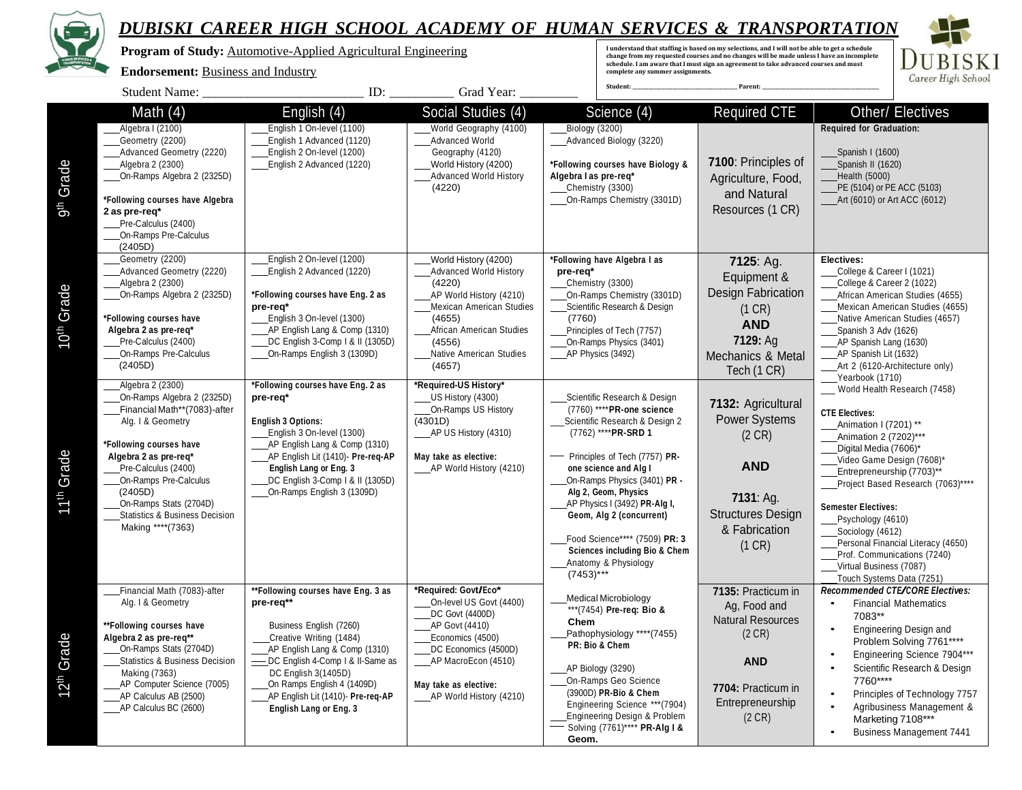

 **Program of Study:** Automotive-Applied Agricultural Engineering

#### **Endorsement:** Business and Industry

I understand that staffing is based on my selections, and I will not be able to get a schedule<br>change from my requested courses and no changes will be made unless I have an incomplete<br>schedule. I am aware that I must sign **complete any summer assignments.** 



|                           | Student Name:                                                                                                                                                                                                                                                                                                   | ID:                                                                                                                                                                                                                                                                                                                               | Grad Year:                                                                                                                                                                                                         | Student:                                                                                                                                                                                                                                                                                                                                                                                                                | Parent:                                                                                                                                    |                                                                                                                                                                                                                                                                                                                                                                                                                                     |
|---------------------------|-----------------------------------------------------------------------------------------------------------------------------------------------------------------------------------------------------------------------------------------------------------------------------------------------------------------|-----------------------------------------------------------------------------------------------------------------------------------------------------------------------------------------------------------------------------------------------------------------------------------------------------------------------------------|--------------------------------------------------------------------------------------------------------------------------------------------------------------------------------------------------------------------|-------------------------------------------------------------------------------------------------------------------------------------------------------------------------------------------------------------------------------------------------------------------------------------------------------------------------------------------------------------------------------------------------------------------------|--------------------------------------------------------------------------------------------------------------------------------------------|-------------------------------------------------------------------------------------------------------------------------------------------------------------------------------------------------------------------------------------------------------------------------------------------------------------------------------------------------------------------------------------------------------------------------------------|
| 9 <sup>th</sup> Grade     | Math $(4)$<br>Algebra I (2100)<br>Geometry (2200)<br>Advanced Geometry (2220)<br>Algebra 2 (2300)<br>On-Ramps Algebra 2 (2325D)<br>*Following courses have Algebra<br>2 as pre-req*<br>Pre-Calculus (2400)<br>On-Ramps Pre-Calculus<br>(2405D)                                                                  | English (4)<br>English 1 On-level (1100)<br>English 1 Advanced (1120)<br>English 2 On-level (1200)<br>English 2 Advanced (1220)                                                                                                                                                                                                   | Social Studies (4)<br>World Geography (4100)<br>Advanced World<br>Geography (4120)<br>World History (4200)<br><b>Advanced World History</b><br>(4220)                                                              | Science $(4)$<br><b>Biology</b> (3200)<br>Advanced Biology (3220)<br>*Following courses have Biology &<br>Algebra I as pre-req*<br>Chemistry (3300)<br>On-Ramps Chemistry (3301D)                                                                                                                                                                                                                                       | <b>Required CTE</b><br>7100: Principles of<br>Agriculture, Food,<br>and Natural<br>Resources (1 CR)                                        | <b>Other/ Electives</b><br><b>Required for Graduation:</b><br>Spanish I (1600)<br>Spanish II (1620)<br>Health (5000)<br>PE (5104) or PE ACC (5103)<br>Art (6010) or Art ACC (6012)                                                                                                                                                                                                                                                  |
| Grade<br>$10^{th}$        | Geometry (2200)<br>Advanced Geometry (2220)<br>Algebra 2 (2300)<br>On-Ramps Algebra 2 (2325D)<br>*Following courses have<br>Algebra 2 as pre-req*<br>Pre-Calculus (2400)<br>On-Ramps Pre-Calculus<br>(2405D)                                                                                                    | English 2 On-level (1200)<br>English 2 Advanced (1220)<br>*Following courses have Eng. 2 as<br>pre-req*<br>English 3 On-level (1300)<br>AP English Lang & Comp (1310)<br>DC English 3-Comp   & II (1305D)<br>On-Ramps English 3 (1309D)                                                                                           | World History (4200)<br><b>Advanced World History</b><br>(4220)<br>AP World History (4210)<br><b>Mexican American Studies</b><br>(4655)<br>African American Studies<br>(4556)<br>Native American Studies<br>(4657) | *Following have Algebra I as<br>pre-req*<br>Chemistry (3300)<br>On-Ramps Chemistry (3301D)<br>Scientific Research & Design<br>(7760)<br>Principles of Tech (7757)<br>On-Ramps Physics (3401)<br>AP Physics (3492)                                                                                                                                                                                                       | 7125: Ag.<br>Equipment &<br>Design Fabrication<br>(1 CR)<br><b>AND</b><br>7129: Ag<br>Mechanics & Metal<br>Tech (1 CR)                     | Electives:<br>College & Career I (1021)<br>College & Career 2 (1022)<br>African American Studies (4655)<br>Mexican American Studies (4655)<br>Native American Studies (4657)<br>Spanish 3 Adv (1626)<br>AP Spanish Lang (1630)<br>AP Spanish Lit (1632)<br>__Art 2 (6120-Architecture only)<br>Yearbook (1710)                                                                                                                      |
| 11 <sup>th</sup> Grade    | Algebra 2 (2300)<br>On-Ramps Algebra 2 (2325D)<br>Financial Math**(7083)-after<br>Alg. I & Geometry<br>*Following courses have<br>Algebra 2 as pre-req*<br>Pre-Calculus (2400)<br>On-Ramps Pre-Calculus<br>(2405D)<br>On-Ramps Stats (2704D)<br><b>Statistics &amp; Business Decision</b><br>Making **** (7363) | *Following courses have Eng. 2 as<br>pre-req*<br><b>English 3 Options:</b><br>English 3 On-level (1300)<br>AP English Lang & Comp (1310)<br>AP English Lit (1410)- Pre-req-AP<br>English Lang or Eng. 3<br>DC English 3-Comp   & II (1305D)<br>On-Ramps English 3 (1309D)                                                         | *Required-US History*<br>US History (4300)<br>On-Ramps US History<br>(4301D)<br>_AP US History (4310)<br>May take as elective:<br>____AP World History (4210)                                                      | Scientific Research & Design<br>(7760) **** PR-one science<br>Scientific Research & Design 2<br>(7762) **** PR-SRD 1<br>Principles of Tech (7757) PR-<br>one science and Alg I<br>On-Ramps Physics (3401) PR -<br>Alg 2, Geom, Physics<br>AP Physics I (3492) PR-Alg I,<br>Geom, Alg 2 (concurrent)<br>Food Science**** (7509) PR: 3<br><b>Sciences including Bio &amp; Chem</b><br>Anatomy & Physiology<br>$(7453)***$ | 7132: Agricultural<br><b>Power Systems</b><br>(2 CR)<br><b>AND</b><br>7131: Ag.<br><b>Structures Design</b><br>& Fabrication<br>(1 CR)     | World Health Research (7458)<br><b>CTE Electives:</b><br>Animation I (7201) **<br>Animation 2 (7202)***<br>Digital Media (7606)*<br>Video Game Design (7608)*<br>Entrepreneurship (7703)**<br>Project Based Research (7063)****<br><b>Semester Electives:</b><br>Psychology (4610)<br>Sociology (4612)<br>Personal Financial Literacy (4650)<br>Prof. Communications (7240)<br>Virtual Business (7087)<br>Touch Systems Data (7251) |
| Grade<br>12 <sup>th</sup> | Financial Math (7083)-after<br>Alg. I & Geometry<br>**Following courses have<br>Algebra 2 as pre-req**<br>On-Ramps Stats (2704D)<br>Statistics & Business Decision<br>Making (7363)<br>AP Computer Science (7005)<br>AP Calculus AB (2500)<br>AP Calculus BC (2600)                                             | **Following courses have Eng. 3 as<br>pre-req**<br>Business English (7260)<br>Creative Writing (1484)<br>AP English Lang & Comp (1310)<br>DC English 4-Comp   & II-Same as<br>$\overline{\phantom{0}}$<br>DC English 3(1405D)<br>On Ramps English 4 (1409D)<br>AP English Lit (1410)- Pre-req-AP<br><b>English Lang or Eng. 3</b> | *Required: Govt/Eco*<br>On-level US Govt (4400)<br>DC Govt (4400D)<br>AP Govt (4410)<br>Economics (4500)<br>DC Economics (4500D)<br>AP MacroEcon (4510)<br>May take as elective:<br>AP World History (4210)        | <b>Medical Microbiology</b><br>***(7454) Pre-reg: Bio &<br>Chem<br>Pathophysiology ****(7455)<br>PR: Bio & Chem<br>AP Biology (3290)<br>On-Ramps Geo Science<br>(3900D) PR-Bio & Chem<br>Engineering Science *** (7904)<br>Engineering Design & Problem<br>Solving (7761)**** PR-Alg I &<br>Geom.                                                                                                                       | 7135: Practicum in<br>Ag, Food and<br><b>Natural Resources</b><br>(2 CR)<br><b>AND</b><br>7704: Practicum in<br>Entrepreneurship<br>(2 CR) | Recommended CTE/CORE Electives:<br><b>Financial Mathematics</b><br>7083**<br>Engineering Design and<br>Problem Solving 7761****<br>Engineering Science 7904***<br>Scientific Research & Design<br>7760****<br>Principles of Technology 7757<br>Agribusiness Management &<br>Marketing 7108***<br><b>Business Management 7441</b>                                                                                                    |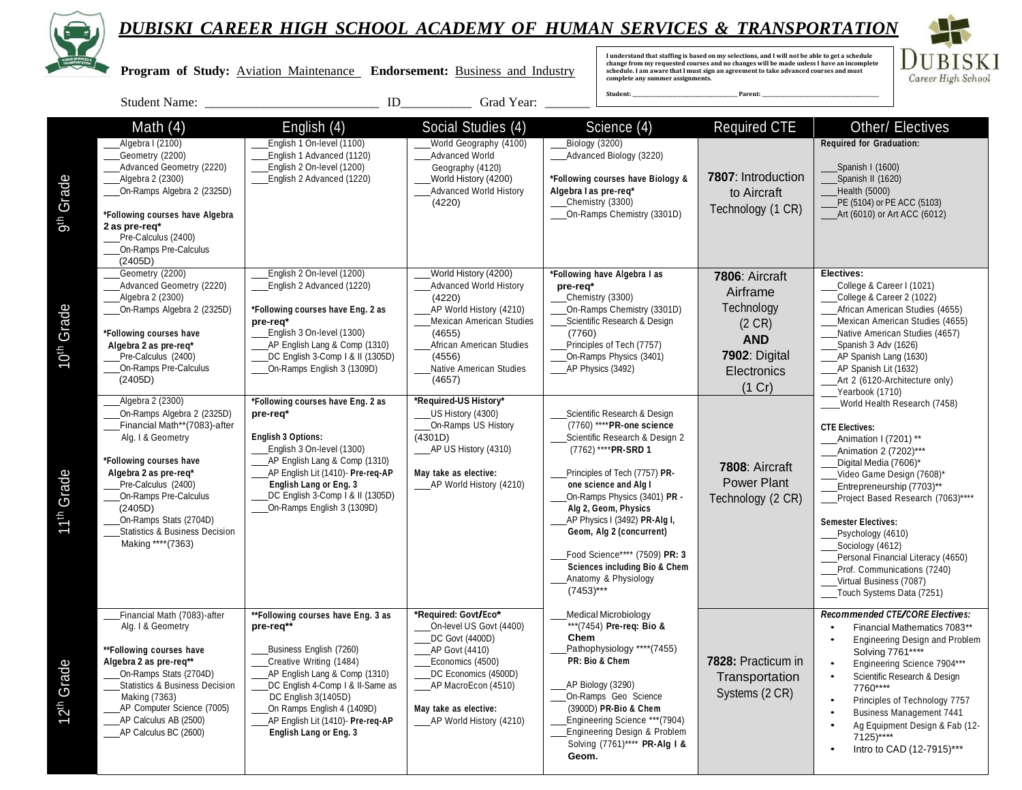

D **UBISKI** Career High School

 **Program of Study:** Aviation Maintenance **Endorsement:** Business and Industry

I understand that staffing is based on my selections, and I will not be able to get a schedule<br>change from my requested courses and no changes will be made unless I have an incomplete<br>schedule. I am aware that I must sign **complete any summer assignments.** 

|                        | <b>Student Name:</b>                                                                                                                                                                                                                                                                                            | ID                                                                                                                                                                                                                                                                                                    | Grad Year:                                                                                                                                                                                                         |                                                                                                                                                                                                                                                                                                                                                                                                                         |                                                                                                                      |                                                                                                                                                                                                                                                                                                                                                                                                                                     |
|------------------------|-----------------------------------------------------------------------------------------------------------------------------------------------------------------------------------------------------------------------------------------------------------------------------------------------------------------|-------------------------------------------------------------------------------------------------------------------------------------------------------------------------------------------------------------------------------------------------------------------------------------------------------|--------------------------------------------------------------------------------------------------------------------------------------------------------------------------------------------------------------------|-------------------------------------------------------------------------------------------------------------------------------------------------------------------------------------------------------------------------------------------------------------------------------------------------------------------------------------------------------------------------------------------------------------------------|----------------------------------------------------------------------------------------------------------------------|-------------------------------------------------------------------------------------------------------------------------------------------------------------------------------------------------------------------------------------------------------------------------------------------------------------------------------------------------------------------------------------------------------------------------------------|
| Grade<br>gth           | Math $(4)$<br>Algebra I (2100)<br>Geometry (2200)<br>Advanced Geometry (2220)<br>Algebra 2 (2300)<br>On-Ramps Algebra 2 (2325D)<br>*Following courses have Algebra<br>2 as pre-req*<br>Pre-Calculus (2400)<br>On-Ramps Pre-Calculus<br>(2405D)                                                                  | English (4)<br>English 1 On-level (1100)<br>English 1 Advanced (1120)<br>English 2 On-level (1200)<br>English 2 Advanced (1220)                                                                                                                                                                       | Social Studies (4)<br>World Geography (4100)<br>Advanced World<br>Geography (4120)<br>World History (4200)<br><b>Advanced World History</b><br>(4220)                                                              | Science (4)<br>Biology (3200)<br>Advanced Biology (3220)<br>*Following courses have Biology &<br>Algebra I as pre-reg*<br>Chemistry (3300)<br>On-Ramps Chemistry (3301D)                                                                                                                                                                                                                                                | <b>Required CTE</b><br><b>7807: Introduction</b><br>to Aircraft<br>Technology (1 CR)                                 | Other/ Electives<br><b>Required for Graduation:</b><br>Spanish I (1600)<br>Spanish II (1620)<br>Health (5000)<br>PE (5104) or PE ACC (5103)<br>Art (6010) or Art ACC (6012)                                                                                                                                                                                                                                                         |
| 10 <sup>th</sup> Grade | Geometry (2200)<br>Advanced Geometry (2220)<br>Algebra 2 (2300)<br>On-Ramps Algebra 2 (2325D)<br>*Following courses have<br>Algebra 2 as pre-reg*<br>Pre-Calculus (2400)<br>On-Ramps Pre-Calculus<br>(2405D)                                                                                                    | English 2 On-level (1200)<br>English 2 Advanced (1220)<br>*Following courses have Eng. 2 as<br>pre-req*<br>English 3 On-level (1300)<br>AP English Lang & Comp (1310)<br>DC English 3-Comp   & II (1305D)<br>On-Ramps English 3 (1309D)                                                               | World History (4200)<br><b>Advanced World History</b><br>(4220)<br>AP World History (4210)<br><b>Mexican American Studies</b><br>(4655)<br>African American Studies<br>(4556)<br>Native American Studies<br>(4657) | *Following have Algebra I as<br>pre-req*<br>Chemistry (3300)<br>On-Ramps Chemistry (3301D)<br>Scientific Research & Design<br>(7760)<br>Principles of Tech (7757)<br>On-Ramps Physics (3401)<br>AP Physics (3492)                                                                                                                                                                                                       | 7806: Aircraft<br>Airframe<br>Technology<br>$(2 \text{ CR})$<br><b>AND</b><br>7902: Digital<br>Electronics<br>(1 Cr) | Electives:<br>College & Career I (1021)<br>College & Career 2 (1022)<br>African American Studies (4655)<br>Mexican American Studies (4655)<br>Native American Studies (4657)<br>Spanish 3 Adv (1626)<br>AP Spanish Lang (1630)<br>AP Spanish Lit (1632)<br>Art 2 (6120-Architecture only)<br>Yearbook (1710)                                                                                                                        |
| 11 <sup>th</sup> Grade | Algebra 2 (2300)<br>On-Ramps Algebra 2 (2325D)<br>Financial Math**(7083)-after<br>Alg. I & Geometry<br>*Following courses have<br>Algebra 2 as pre-req*<br>Pre-Calculus (2400)<br>On-Ramps Pre-Calculus<br>(2405D)<br>On-Ramps Stats (2704D)<br><b>Statistics &amp; Business Decision</b><br>Making **** (7363) | *Following courses have Eng. 2 as<br>pre-req*<br><b>English 3 Options:</b><br>English 3 On-level (1300)<br>AP English Lang & Comp (1310)<br>AP English Lit (1410)- Pre-req-AP<br>English Lang or Eng. 3<br>DC English 3-Comp   & II (1305D)<br>On-Ramps English 3 (1309D)                             | *Required-US History*<br>US History (4300)<br>On-Ramps US History<br>(4301D)<br>AP US History (4310)<br>May take as elective:<br>AP World History (4210)                                                           | Scientific Research & Design<br>(7760) **** PR-one science<br>Scientific Research & Design 2<br>(7762) **** PR-SRD 1<br>Principles of Tech (7757) PR-<br>one science and Alg I<br>On-Ramps Physics (3401) PR -<br>Alg 2, Geom, Physics<br>AP Physics I (3492) PR-Alg I,<br>Geom, Alg 2 (concurrent)<br>Food Science**** (7509) PR: 3<br><b>Sciences including Bio &amp; Chem</b><br>Anatomy & Physiology<br>$(7453)***$ | 7808: Aircraft<br>Power Plant<br>Technology (2 CR)                                                                   | World Health Research (7458)<br><b>CTE Electives:</b><br>Animation I (7201) **<br>Animation 2 (7202)***<br>Digital Media (7606)*<br>Video Game Design (7608)*<br>Entrepreneurship (7703)**<br>Project Based Research (7063)****<br><b>Semester Electives:</b><br>Psychology (4610)<br>Sociology (4612)<br>Personal Financial Literacy (4650)<br>Prof. Communications (7240)<br>Virtual Business (7087)<br>Touch Systems Data (7251) |
| 12 <sup>th</sup> Grade | Financial Math (7083)-after<br>Alg. I & Geometry<br>**Following courses have<br>Algebra 2 as pre-req**<br>On-Ramps Stats (2704D)<br><b>Statistics &amp; Business Decision</b><br><b>Making (7363)</b><br>AP Computer Science (7005)<br>AP Calculus AB (2500)<br>AP Calculus BC (2600)                           | **Following courses have Eng. 3 as<br>pre-req**<br>Business English (7260)<br>Creative Writing (1484)<br>AP English Lang & Comp (1310)<br>DC English 4-Comp I & II-Same as<br>DC English 3(1405D)<br>On Ramps English 4 (1409D)<br>AP English Lit (1410)- Pre-req-AP<br><b>English Lang or Eng. 3</b> | *Required: Govt/Eco*<br>On-level US Govt (4400)<br>DC Govt (4400D)<br>AP Govt (4410)<br>Economics (4500)<br>DC Economics (4500D)<br>_AP MacroEcon (4510)<br>May take as elective:<br>AP World History (4210)       | <b>Medical Microbiology</b><br>***(7454) Pre-req: Bio &<br>Chem<br>Pathophysiology ****(7455)<br>PR: Bio & Chem<br>AP Biology (3290)<br>On-Ramps Geo Science<br>(3900D) PR-Bio & Chem<br>Engineering Science *** (7904)<br>Engineering Design & Problem<br>Solving (7761)**** PR-Alg I &<br>Geom.                                                                                                                       | 7828: Practicum in<br>Transportation<br>Systems (2 CR)                                                               | Recommended CTE/CORE Electives:<br>Financial Mathematics 7083**<br><b>Engineering Design and Problem</b><br>Solving 7761****<br>Engineering Science 7904***<br>$\bullet$<br>Scientific Research & Design<br>$\bullet$<br>7760****<br>Principles of Technology 7757<br>$\bullet$<br><b>Business Management 7441</b><br>Ag Equipment Design & Fab (12-<br>7125)****<br>Intro to CAD (12-7915)***                                      |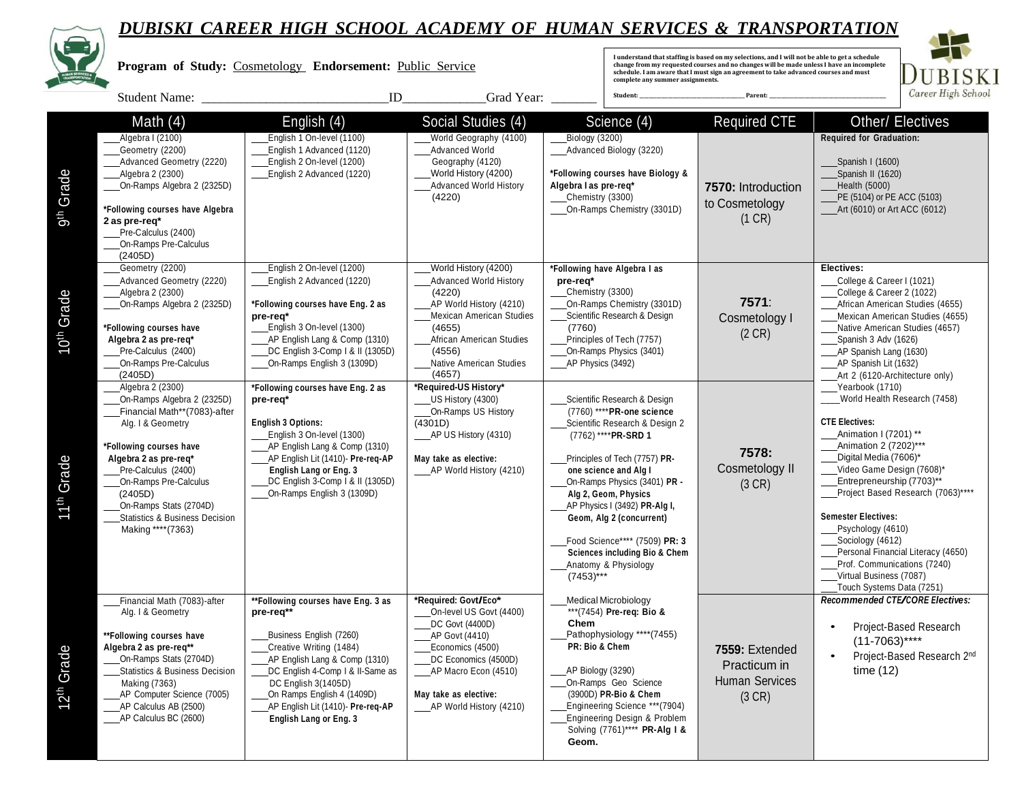

| $\color{red} \bullet$  | DUDISKI CAKEEK HIGH SCHUUL ACADEMI UF HUMAN SEKVICES & IKANSFUKIAIIUN<br>Program of Study: Cosmetology Endorsement: Public Service<br>ID<br>Grad Year:<br><b>Student Name:</b>                                                                                                              |                                                                                                                                                                                                                                                                                                |                                                                                                                                                                                                                                             |                                                                                              |                                                                                                                                                                                                                                                                                                                                                         | I understand that staffing is based on my selections, and I will not be able to get a schedule change from my requested courses and no changes will be made unless I have an incomplete<br>schedule. I am aware that I must sign an agreement to take advanced courses and must<br>BISKI<br>complete any summer assignments.<br>Career High School<br>Student:<br>Parent: |                                                                                                                                                                                                                                                                                                                                                                                                                                     |  |
|------------------------|---------------------------------------------------------------------------------------------------------------------------------------------------------------------------------------------------------------------------------------------------------------------------------------------|------------------------------------------------------------------------------------------------------------------------------------------------------------------------------------------------------------------------------------------------------------------------------------------------|---------------------------------------------------------------------------------------------------------------------------------------------------------------------------------------------------------------------------------------------|----------------------------------------------------------------------------------------------|---------------------------------------------------------------------------------------------------------------------------------------------------------------------------------------------------------------------------------------------------------------------------------------------------------------------------------------------------------|---------------------------------------------------------------------------------------------------------------------------------------------------------------------------------------------------------------------------------------------------------------------------------------------------------------------------------------------------------------------------|-------------------------------------------------------------------------------------------------------------------------------------------------------------------------------------------------------------------------------------------------------------------------------------------------------------------------------------------------------------------------------------------------------------------------------------|--|
|                        |                                                                                                                                                                                                                                                                                             |                                                                                                                                                                                                                                                                                                |                                                                                                                                                                                                                                             |                                                                                              |                                                                                                                                                                                                                                                                                                                                                         |                                                                                                                                                                                                                                                                                                                                                                           |                                                                                                                                                                                                                                                                                                                                                                                                                                     |  |
| 9 <sup>th</sup> Grade  | Math $(4)$<br>Algebra I (2100)<br>Geometry (2200)<br>Advanced Geometry (2220)<br>Algebra 2 (2300)<br>On-Ramps Algebra 2 (2325D)<br>*Following courses have Algebra<br>2 as pre-req*<br>Pre-Calculus (2400)<br>On-Ramps Pre-Calculus<br>(2405D)                                              | English (4)<br>English 1 On-level (1100)<br>English 1 Advanced (1120)<br>English 2 On-level (1200)<br>English 2 Advanced (1220)                                                                                                                                                                | Social Studies (4)<br>World Geography (4100)<br>Advanced World<br>Geography (4120)<br>World History (4200)<br><b>Advanced World History</b><br>(4220)                                                                                       | Biology (3200)<br>Algebra I as pre-reg*<br>Chemistry (3300)                                  | Science (4)<br>Advanced Biology (3220)<br>*Following courses have Biology &<br>On-Ramps Chemistry (3301D)                                                                                                                                                                                                                                               | <b>Required CTE</b><br>7570: Introduction<br>to Cosmetology<br>(1 CR)                                                                                                                                                                                                                                                                                                     | Other/ Electives<br><b>Required for Graduation:</b><br>Spanish I (1600)<br>Spanish II (1620)<br>Health (5000)<br>PE (5104) or PE ACC (5103)<br>Art (6010) or Art ACC (6012)                                                                                                                                                                                                                                                         |  |
| 10 <sup>th</sup> Grade | Geometry (2200)<br>Advanced Geometry (2220)<br>Algebra 2 (2300)<br>On-Ramps Algebra 2 (2325D)<br>*Following courses have<br>Algebra 2 as pre-req*<br>Pre-Calculus (2400)<br>On-Ramps Pre-Calculus<br>(2405D)<br>Algebra 2 (2300)                                                            | English 2 On-level (1200)<br>English 2 Advanced (1220)<br>*Following courses have Eng. 2 as<br>pre-req*<br>English 3 On-level (1300)<br>AP English Lang & Comp (1310)<br>DC English 3-Comp   & II (1305D)<br>On-Ramps English 3 (1309D)<br>*Following courses have Eng. 2 as                   | World History (4200)<br><b>Advanced World History</b><br>(4220)<br>AP World History (4210)<br><b>Mexican American Studies</b><br>(4655)<br>African American Studies<br>(4556)<br>Native American Studies<br>(4657)<br>*Required-US History* | *Following have Algebra I as<br>pre-req*<br>Chemistry (3300)<br>(7760)<br>_AP Physics (3492) | On-Ramps Chemistry (3301D)<br>Scientific Research & Design<br>Principles of Tech (7757)<br>On-Ramps Physics (3401)                                                                                                                                                                                                                                      | 7571:<br>Cosmetology I<br>(2 CR)                                                                                                                                                                                                                                                                                                                                          | Electives:<br>College & Career I (1021)<br>College & Career 2 (1022)<br>African American Studies (4655)<br>Mexican American Studies (4655)<br>Native American Studies (4657)<br>Spanish 3 Adv (1626)<br>AP Spanish Lang (1630)<br>AP Spanish Lit (1632)<br>Art 2 (6120-Architecture only)<br>Yearbook (1710)                                                                                                                        |  |
| 11 <sup>th</sup> Grade | On-Ramps Algebra 2 (2325D)<br>Financial Math**(7083)-after<br>Alg. I & Geometry<br>*Following courses have<br>Algebra 2 as pre-req*<br>Pre-Calculus (2400)<br>On-Ramps Pre-Calculus<br>(2405D)<br>On-Ramps Stats (2704D)<br><b>Statistics &amp; Business Decision</b><br>Making **** (7363) | pre-req*<br><b>English 3 Options:</b><br>English 3 On-level (1300)<br>AP English Lang & Comp (1310)<br>AP English Lit (1410)- Pre-req-AP<br>English Lang or Eng. 3<br>DC English 3-Comp 1 & II (1305D)<br>On-Ramps English 3 (1309D)                                                           | US History (4300)<br>On-Ramps US History<br>(4301D)<br>____AP US History (4310)<br>May take as elective:<br>____AP World History (4210)                                                                                                     | one science and Alg I<br>Alg 2, Geom, Physics<br>$(7453)***$                                 | Scientific Research & Design<br>(7760) **** PR-one science<br>Scientific Research & Design 2<br>(7762) **** PR-SRD 1<br>Principles of Tech (7757) PR-<br>On-Ramps Physics (3401) PR -<br>AP Physics I (3492) PR-Alg I,<br>Geom, Alg 2 (concurrent)<br>Food Science**** (7509) PR: 3<br><b>Sciences including Bio &amp; Chem</b><br>Anatomy & Physiology | 7578:<br>Cosmetology II<br>(3 CR)                                                                                                                                                                                                                                                                                                                                         | World Health Research (7458)<br><b>CTE Electives:</b><br>Animation I (7201) **<br>Animation 2 (7202)***<br>Digital Media (7606)*<br>Video Game Design (7608)*<br>Entrepreneurship (7703)**<br>Project Based Research (7063)****<br><b>Semester Electives:</b><br>Psychology (4610)<br>Sociology (4612)<br>Personal Financial Literacy (4650)<br>Prof. Communications (7240)<br>Virtual Business (7087)<br>Touch Systems Data (7251) |  |
| 12 <sup>th</sup> Grade | Financial Math (7083)-after<br>Alg. I & Geometry<br>**Following courses have<br>Algebra 2 as pre-req**<br>On-Ramps Stats (2704D)<br>Statistics & Business Decision<br>Making (7363)<br>AP Computer Science (7005)<br>AP Calculus AB (2500)<br>____AP Calculus BC (2600)                     | **Following courses have Eng. 3 as<br>pre-req**<br>Business English (7260)<br>Creative Writing (1484)<br>AP English Lang & Comp (1310)<br>DC English 4-Comp I & II-Same as<br>DC English 3(1405D)<br>On Ramps English 4 (1409D)<br>AP English Lit (1410)- Pre-req-AP<br>English Lang or Eng. 3 | *Required: Govt/Eco*<br>On-level US Govt (4400)<br>DC Govt (4400D)<br>AP Govt (4410)<br>Economics (4500)<br>DC Economics (4500D)<br>____AP Macro Econ (4510)<br>May take as elective:<br>AP World History (4210)                            | <b>Medical Microbiology</b><br>Chem<br>PR: Bio & Chem<br>AP Biology (3290)<br>Geom.          | *** (7454) Pre-reg: Bio &<br>Pathophysiology ****(7455)<br>On-Ramps Geo Science<br>(3900D) PR-Bio & Chem<br>Engineering Science *** (7904)<br>Engineering Design & Problem<br>Solving (7761)**** PR-Alg I &                                                                                                                                             | 7559: Extended<br>Practicum in<br><b>Human Services</b><br>(3 CR)                                                                                                                                                                                                                                                                                                         | Recommended CTE/CORE Electives:<br>Project-Based Research<br>$\bullet$<br>$(11-7063)$ ****<br>Project-Based Research 2nd<br>time(12)                                                                                                                                                                                                                                                                                                |  |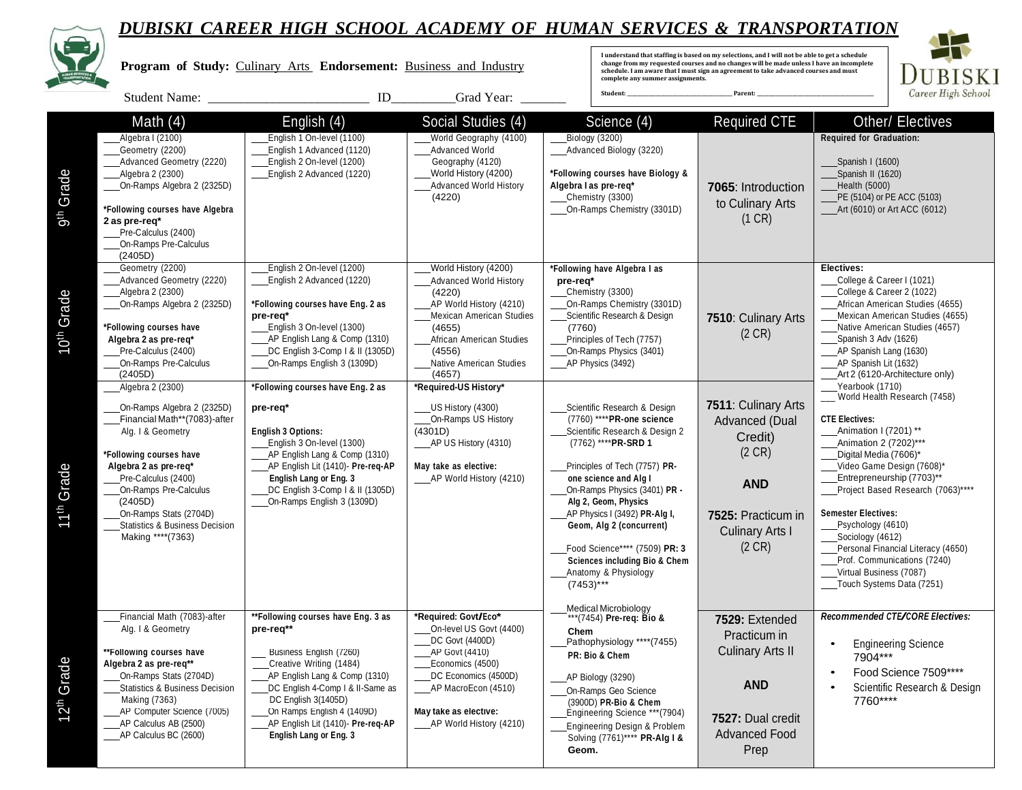

|                        | DUBISKI CAREER HIGH SCHOOL ACADEMY OF HUMAN SERVICES & IRANSPORIATION<br>Program of Study: Culinary Arts Endorsement: Business and Industry                                                                                                                                                 |                                                                                                                                                                                                                                                                                                |                                                                                                                                                                                                                                       | I understand that staffing is based on my selections, and I will not be able to get a schedule<br>change from my requested courses and no changes will be made unless I have an incomplete<br>schedule. I am aware that I must sign an agreement to take advanced courses and must<br>complete any summer assignments.                                                                                                  | <b>BISKI</b>                                                                                                                                           |                                                                                                                                                                                                                                                                                                                                                                                                                                     |
|------------------------|---------------------------------------------------------------------------------------------------------------------------------------------------------------------------------------------------------------------------------------------------------------------------------------------|------------------------------------------------------------------------------------------------------------------------------------------------------------------------------------------------------------------------------------------------------------------------------------------------|---------------------------------------------------------------------------------------------------------------------------------------------------------------------------------------------------------------------------------------|-------------------------------------------------------------------------------------------------------------------------------------------------------------------------------------------------------------------------------------------------------------------------------------------------------------------------------------------------------------------------------------------------------------------------|--------------------------------------------------------------------------------------------------------------------------------------------------------|-------------------------------------------------------------------------------------------------------------------------------------------------------------------------------------------------------------------------------------------------------------------------------------------------------------------------------------------------------------------------------------------------------------------------------------|
|                        | <b>Student Name:</b>                                                                                                                                                                                                                                                                        | $\rm ID$                                                                                                                                                                                                                                                                                       | Grad Year:                                                                                                                                                                                                                            | Student:                                                                                                                                                                                                                                                                                                                                                                                                                | Parent:                                                                                                                                                | Career High School                                                                                                                                                                                                                                                                                                                                                                                                                  |
| 9 <sup>th</sup> Grade  | Math $(4)$<br>Algebra I (2100)<br>Geometry (2200)<br>Advanced Geometry (2220)<br>Algebra 2 (2300)<br>On-Ramps Algebra 2 (2325D)<br>*Following courses have Algebra<br>2 as pre-req*<br>Pre-Calculus (2400)<br>On-Ramps Pre-Calculus<br>(2405D)                                              | English (4)<br>English 1 On-level (1100)<br>English 1 Advanced (1120)<br>English 2 On-level (1200)<br>English 2 Advanced (1220)                                                                                                                                                                | Social Studies (4)<br>World Geography (4100)<br><b>Advanced World</b><br>Geography (4120)<br>World History (4200)<br><b>Advanced World History</b><br>(4220)                                                                          | Science (4)<br>Biology (3200)<br>Advanced Biology (3220)<br>*Following courses have Biology &<br>Algebra I as pre-req*<br>Chemistry (3300)<br>On-Ramps Chemistry (3301D)                                                                                                                                                                                                                                                | <b>Required CTE</b><br>7065: Introduction<br>to Culinary Arts<br>(1 CR)                                                                                | <b>Other/ Electives</b><br><b>Required for Graduation:</b><br>Spanish I (1600)<br>Spanish II (1620)<br>Health (5000)<br>PE (5104) or PE ACC (5103)<br>____Art (6010) or Art ACC (6012)                                                                                                                                                                                                                                              |
| 10 <sup>th</sup> Grade | Geometry (2200)<br>Advanced Geometry (2220)<br>Algebra 2 (2300)<br>On-Ramps Algebra 2 (2325D)<br>*Following courses have<br>Algebra 2 as pre-req*<br>Pre-Calculus (2400)<br>On-Ramps Pre-Calculus<br>(2405D)<br>Algebra 2 (2300)                                                            | English 2 On-level (1200)<br>English 2 Advanced (1220)<br>*Following courses have Eng. 2 as<br>pre-req*<br>English 3 On-level (1300)<br>AP English Lang & Comp (1310)<br>DC English 3-Comp   & II (1305D)<br>On-Ramps English 3 (1309D)<br>*Following courses have Eng. 2 as                   | World History (4200)<br>Advanced World History<br>(4220)<br>_AP World History (4210)<br><b>Mexican American Studies</b><br>(4655)<br>African American Studies<br>(4556)<br>Native American Studies<br>(4657)<br>*Required-US History* | *Following have Algebra I as<br>pre-req*<br>Chemistry (3300)<br>On-Ramps Chemistry (3301D)<br>Scientific Research & Design<br>(7760)<br>Principles of Tech (7757)<br>On-Ramps Physics (3401)<br>AP Physics (3492)                                                                                                                                                                                                       | 7510: Culinary Arts<br>$(2 \text{ CR})$                                                                                                                | Electives:<br>College & Career I (1021)<br>College & Career 2 (1022)<br>African American Studies (4655)<br>Mexican American Studies (4655)<br>Native American Studies (4657)<br>Spanish 3 Adv (1626)<br>AP Spanish Lang (1630)<br>_AP Spanish Lit (1632)<br>Art 2 (6120-Architecture only)<br>Yearbook (1710)                                                                                                                       |
| 11 <sup>th</sup> Grade | On-Ramps Algebra 2 (2325D)<br>Financial Math**(7083)-after<br>Alg. I & Geometry<br>*Following courses have<br>Algebra 2 as pre-req*<br>Pre-Calculus (2400)<br>On-Ramps Pre-Calculus<br>(2405D)<br>On-Ramps Stats (2704D)<br><b>Statistics &amp; Business Decision</b><br>Making **** (7363) | pre-req*<br><b>English 3 Options:</b><br>English 3 On-level (1300)<br>AP English Lang & Comp (1310)<br>AP English Lit (1410)- Pre-req-AP<br>English Lang or Eng. 3<br>DC English 3-Comp   & II (1305D)<br>On-Ramps English 3 (1309D)                                                           | _US History (4300)<br>On-Ramps US History<br>(4301D)<br>____AP US History (4310)<br>May take as elective:<br>____AP World History (4210)                                                                                              | Scientific Research & Design<br>(7760) **** PR-one science<br>Scientific Research & Design 2<br>(7762) **** PR-SRD 1<br>Principles of Tech (7757) PR-<br>one science and Alg I<br>On-Ramps Physics (3401) PR -<br>Alg 2, Geom, Physics<br>AP Physics I (3492) PR-Alg I,<br>Geom, Alg 2 (concurrent)<br>Food Science**** (7509) PR: 3<br><b>Sciences including Bio &amp; Chem</b><br>Anatomy & Physiology<br>$(7453)***$ | 7511: Culinary Arts<br>Advanced (Dual<br>Credit)<br>$(2 \text{ CR})$<br><b>AND</b><br>7525: Practicum in<br><b>Culinary Arts I</b><br>$(2 \text{ CR})$ | World Health Research (7458)<br><b>CTE Electives:</b><br>Animation I (7201) **<br>Animation 2 (7202)***<br>Digital Media (7606)*<br>Video Game Design (7608)*<br>Entrepreneurship (7703)**<br>Project Based Research (7063)****<br><b>Semester Electives:</b><br>Psychology (4610)<br>Sociology (4612)<br>Personal Financial Literacy (4650)<br>Prof. Communications (7240)<br>Virtual Business (7087)<br>Touch Systems Data (7251) |
| 12 <sup>th</sup> Grade | Financial Math (7083)-after<br>Alg. I & Geometry<br>**Following courses have<br>Algebra 2 as pre-req**<br>On-Ramps Stats (2704D)<br><b>Statistics &amp; Business Decision</b><br>Making (7363)<br>AP Computer Science (7005)<br>AP Calculus AB (2500)<br>____AP Calculus BC (2600)          | **Following courses have Eng. 3 as<br>pre-req**<br>Business English (7260)<br>Creative Writing (1484)<br>AP English Lang & Comp (1310)<br>DC English 4-Comp I & II-Same as<br>DC English 3(1405D)<br>On Ramps English 4 (1409D)<br>AP English Lit (1410)- Pre-req-AP<br>English Lang or Eng. 3 | *Required: Govt/Eco*<br>On-level US Govt (4400)<br>DC Govt (4400D)<br>AP Govt (4410)<br>Economics (4500)<br>DC Economics (4500D)<br>AP MacroEcon (4510)<br>May take as elective:<br>AP World History (4210)                           | <b>Medical Microbiology</b><br>*** (7454) Pre-req: Bio &<br>Chem<br>Pathophysiology **** (7455)<br>PR: Bio & Chem<br>AP Biology (3290)<br>On-Ramps Geo Science<br>(3900D) PR-Bio & Chem<br>Engineering Science *** (7904)<br>Engineering Design & Problem<br>Solving (7761)**** PR-Alg I &<br>Geom.                                                                                                                     | 7529: Extended<br>Practicum in<br><b>Culinary Arts II</b><br><b>AND</b><br>7527: Dual credit<br><b>Advanced Food</b><br>Prep                           | Recommended CTE/CORE Electives:<br><b>Engineering Science</b><br>$\bullet$<br>7904***<br>Food Science 7509****<br>Scientific Research & Design<br>7760****                                                                                                                                                                                                                                                                          |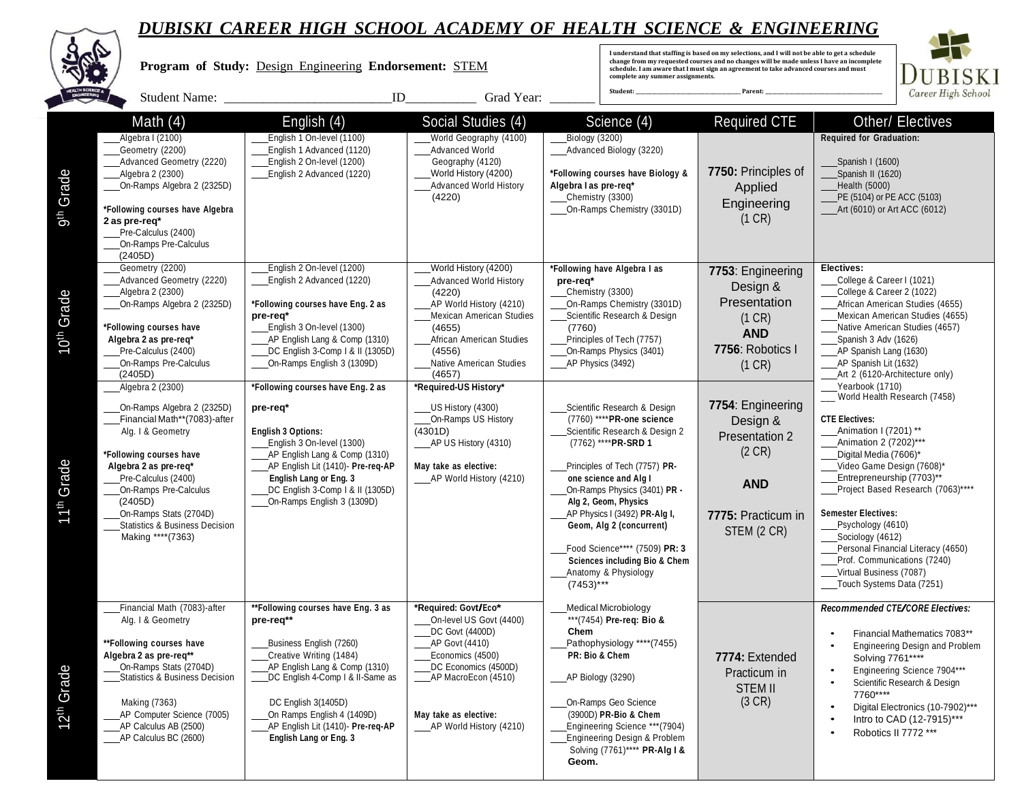

**ALC** 

|                        |                                                                                                                                                                                                                                                                                             | I understand that staffing is based on my selections, and I will not be able to get a schedule<br>change from my requested courses and no changes will be made unless I have an incomplete<br>Program of Study: Design Engineering Endorsement: STEM<br>schedule. I am aware that I must sign an agreement to take advanced courses and must<br>complete any summer assignments.<br>Student:<br>Parent: |                                                                                                                                                                                                                                              |                                                                                                                                                                                                                                                                                                                                                                                                                         | <b>BISKI</b><br>Career High School                                                                                     |                                                                                                                                                                                                                                                                                                                                                                                                                                     |
|------------------------|---------------------------------------------------------------------------------------------------------------------------------------------------------------------------------------------------------------------------------------------------------------------------------------------|---------------------------------------------------------------------------------------------------------------------------------------------------------------------------------------------------------------------------------------------------------------------------------------------------------------------------------------------------------------------------------------------------------|----------------------------------------------------------------------------------------------------------------------------------------------------------------------------------------------------------------------------------------------|-------------------------------------------------------------------------------------------------------------------------------------------------------------------------------------------------------------------------------------------------------------------------------------------------------------------------------------------------------------------------------------------------------------------------|------------------------------------------------------------------------------------------------------------------------|-------------------------------------------------------------------------------------------------------------------------------------------------------------------------------------------------------------------------------------------------------------------------------------------------------------------------------------------------------------------------------------------------------------------------------------|
|                        |                                                                                                                                                                                                                                                                                             | ID                                                                                                                                                                                                                                                                                                                                                                                                      | Grad Year:                                                                                                                                                                                                                                   |                                                                                                                                                                                                                                                                                                                                                                                                                         |                                                                                                                        |                                                                                                                                                                                                                                                                                                                                                                                                                                     |
| Grade<br>5th           | Math $(4)$<br>Algebra I (2100)<br>Geometry (2200)<br>Advanced Geometry (2220)<br>Algebra 2 (2300)<br>On-Ramps Algebra 2 (2325D)<br>*Following courses have Algebra<br>2 as pre-req*<br>Pre-Calculus (2400)<br>On-Ramps Pre-Calculus<br>(2405D)                                              | English (4)<br>English 1 On-level (1100)<br>English 1 Advanced (1120)<br>English 2 On-level (1200)<br>English 2 Advanced (1220)                                                                                                                                                                                                                                                                         | Social Studies (4)<br>World Geography (4100)<br>Advanced World<br>Geography (4120)<br>World History (4200)<br><b>Advanced World History</b><br>(4220)                                                                                        | Science (4)<br>Biology (3200)<br>Advanced Biology (3220)<br>*Following courses have Biology &<br>Algebra I as pre-req*<br>Chemistry (3300)<br>On-Ramps Chemistry (3301D)                                                                                                                                                                                                                                                | <b>Required CTE</b><br>7750: Principles of<br>Applied<br>Engineering<br>(1 CR)                                         | <b>Other/ Electives</b><br><b>Required for Graduation:</b><br>Spanish I (1600)<br>Spanish II (1620)<br><b>Health (5000)</b><br>PE (5104) or PE ACC (5103)<br>____Art (6010) or Art ACC (6012)                                                                                                                                                                                                                                       |
| 10 <sup>th</sup> Grade | Geometry (2200)<br>Advanced Geometry (2220)<br>Algebra 2 (2300)<br>On-Ramps Algebra 2 (2325D)<br>*Following courses have<br>Algebra 2 as pre-req*<br>Pre-Calculus (2400)<br>On-Ramps Pre-Calculus<br>(2405D)<br>Algebra 2 (2300)                                                            | English 2 On-level (1200)<br>English 2 Advanced (1220)<br>*Following courses have Eng. 2 as<br>pre-req*<br>English 3 On-level (1300)<br>AP English Lang & Comp (1310)<br>DC English 3-Comp   & II (1305D)<br>On-Ramps English 3 (1309D)<br>*Following courses have Eng. 2 as                                                                                                                            | World History (4200)<br><b>Advanced World History</b><br>(4220)<br>_AP World History (4210)<br><b>Mexican American Studies</b><br>(4655)<br>African American Studies<br>(4556)<br>Native American Studies<br>(4657)<br>*Required-US History* | *Following have Algebra I as<br>pre-req*<br>Chemistry (3300)<br>On-Ramps Chemistry (3301D)<br>Scientific Research & Design<br>(7760)<br>Principles of Tech (7757)<br>On-Ramps Physics (3401)<br>AP Physics (3492)                                                                                                                                                                                                       | 7753: Engineering<br>Design &<br>Presentation<br>(1 CR)<br><b>AND</b><br>7756: Robotics I<br>(1 CR)                    | Electives:<br>College & Career I (1021)<br>College & Career 2 (1022)<br>African American Studies (4655)<br>Mexican American Studies (4655)<br>Native American Studies (4657)<br>Spanish 3 Adv (1626)<br>AP Spanish Lang (1630)<br>AP Spanish Lit (1632)<br>Art 2 (6120-Architecture only)<br>Yearbook (1710)                                                                                                                        |
| 11 <sup>th</sup> Grade | On-Ramps Algebra 2 (2325D)<br>Financial Math**(7083)-after<br>Alg. I & Geometry<br>*Following courses have<br>Algebra 2 as pre-req*<br>Pre-Calculus (2400)<br>On-Ramps Pre-Calculus<br>(2405D)<br>On-Ramps Stats (2704D)<br><b>Statistics &amp; Business Decision</b><br>Making **** (7363) | pre-req*<br><b>English 3 Options:</b><br>English 3 On-level (1300)<br>AP English Lang & Comp (1310)<br>AP English Lit (1410)- Pre-req-AP<br>English Lang or Eng. 3<br>DC English 3-Comp   & II (1305D)<br>On-Ramps English 3 (1309D)                                                                                                                                                                    | _US History (4300)<br>On-Ramps US History<br>(4301D)<br>AP US History (4310)<br>May take as elective:<br>AP World History (4210)                                                                                                             | Scientific Research & Design<br>(7760) **** PR-one science<br>Scientific Research & Design 2<br>(7762) **** PR-SRD 1<br>Principles of Tech (7757) PR-<br>one science and Alg I<br>On-Ramps Physics (3401) PR -<br>Alg 2, Geom, Physics<br>AP Physics I (3492) PR-Alg I,<br>Geom, Alg 2 (concurrent)<br>Food Science**** (7509) PR: 3<br><b>Sciences including Bio &amp; Chem</b><br>Anatomy & Physiology<br>$(7453)***$ | 7754: Engineering<br>Design &<br>Presentation 2<br>$(2 \text{ CR})$<br><b>AND</b><br>7775: Practicum in<br>STEM (2 CR) | World Health Research (7458)<br><b>CTE Electives:</b><br>Animation I (7201) **<br>Animation 2 (7202)***<br>Digital Media (7606)*<br>Video Game Design (7608)*<br>Entrepreneurship (7703)**<br>Project Based Research (7063)****<br><b>Semester Electives:</b><br>Psychology (4610)<br>Sociology (4612)<br>Personal Financial Literacy (4650)<br>Prof. Communications (7240)<br>Virtual Business (7087)<br>Touch Systems Data (7251) |
| 12 <sup>th</sup> Grade | Financial Math (7083)-after<br>Alg. I & Geometry<br>**Following courses have<br>Algebra 2 as pre-req**<br>On-Ramps Stats (2704D)<br>Statistics & Business Decision<br>Making (7363)<br>AP Computer Science (7005)<br>AP Calculus AB (2500)<br>AP Calculus BC (2600)                         | **Following courses have Eng. 3 as<br>pre-req**<br>Business English (7260)<br>Creative Writing (1484)<br>AP English Lang & Comp (1310)<br>DC English 4-Comp I & II-Same as<br>DC English 3(1405D)<br>On Ramps English 4 (1409D)<br>AP English Lit (1410)- Pre-req-AP<br>English Lang or Eng. 3                                                                                                          | *Required: Govt/Eco*<br>On-level US Govt (4400)<br>DC Govt (4400D)<br>AP Govt (4410)<br>Economics (4500)<br>DC Economics (4500D)<br>AP MacroEcon (4510)<br>May take as elective:<br>____AP World History (4210)                              | <b>Medical Microbiology</b><br>*** (7454) Pre-reg: Bio &<br>Chem<br>Pathophysiology ****(7455)<br>PR: Bio & Chem<br>AP Biology (3290)<br>On-Ramps Geo Science<br>(3900D) PR-Bio & Chem<br>Engineering Science *** (7904)<br>Engineering Design & Problem<br>Solving (7761)**** PR-Alg I &<br>Geom.                                                                                                                      | 7774: Extended<br>Practicum in<br><b>STEM II</b><br>(3 CR)                                                             | Recommended CTE/CORE Electives:<br>Financial Mathematics 7083**<br><b>Engineering Design and Problem</b><br>Solving 7761****<br>Engineering Science 7904***<br>Scientific Research & Design<br>7760****<br>Digital Electronics (10-7902)***<br>Intro to CAD (12-7915)***<br>Robotics II 7772 ***                                                                                                                                    |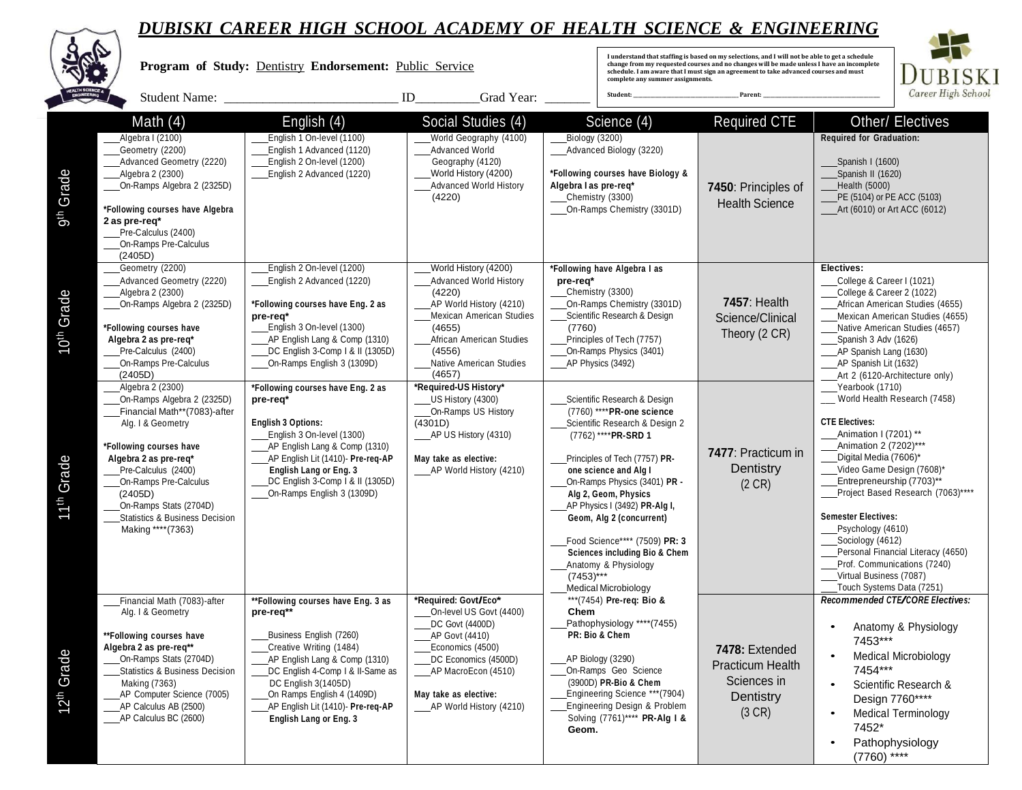

**ALCOHOL:** 

|                           |                                                                                                                                                                                                                                                                                                                 | Program of Study: Dentistry Endorsement: Public Service                                                                                                                                                                                                                                               |                                                                                                                                                                                                              | complete any summer assignments.                                                                                                                                                                                                                                                                                                                                                                                                            | I understand that staffing is based on my selections, and I will not be able to get a schedule<br>change from my requested courses and no changes will be made unless I have an incomplete<br>schedule. I am aware that I must sign an agreement to take advanced courses and must | <b>BISKI</b>                                                                                                                                                                                                                                                                                                                                                                                                                                           |
|---------------------------|-----------------------------------------------------------------------------------------------------------------------------------------------------------------------------------------------------------------------------------------------------------------------------------------------------------------|-------------------------------------------------------------------------------------------------------------------------------------------------------------------------------------------------------------------------------------------------------------------------------------------------------|--------------------------------------------------------------------------------------------------------------------------------------------------------------------------------------------------------------|---------------------------------------------------------------------------------------------------------------------------------------------------------------------------------------------------------------------------------------------------------------------------------------------------------------------------------------------------------------------------------------------------------------------------------------------|------------------------------------------------------------------------------------------------------------------------------------------------------------------------------------------------------------------------------------------------------------------------------------|--------------------------------------------------------------------------------------------------------------------------------------------------------------------------------------------------------------------------------------------------------------------------------------------------------------------------------------------------------------------------------------------------------------------------------------------------------|
|                           | Student Name: _                                                                                                                                                                                                                                                                                                 |                                                                                                                                                                                                                                                                                                       | ID<br>Grad Year:                                                                                                                                                                                             | Student:                                                                                                                                                                                                                                                                                                                                                                                                                                    | Parent:                                                                                                                                                                                                                                                                            | Career High School                                                                                                                                                                                                                                                                                                                                                                                                                                     |
| 9 <sup>th</sup> Grade     | Math $(4)$<br>Algebra I (2100)<br>Geometry (2200)<br>Advanced Geometry (2220)<br>Algebra 2 (2300)<br>On-Ramps Algebra 2 (2325D)<br>*Following courses have Algebra<br>2 as pre-req*<br>Pre-Calculus (2400)<br>On-Ramps Pre-Calculus<br>(2405D)                                                                  | English (4)<br>English 1 On-level (1100)<br>English 1 Advanced (1120)<br>English 2 On-level (1200)<br>English 2 Advanced (1220)                                                                                                                                                                       | Social Studies (4)<br>World Geography (4100)<br><b>Advanced World</b><br>Geography (4120)<br>World History (4200)<br><b>Advanced World History</b><br>(4220)                                                 | Science (4)<br>Biology (3200)<br>Advanced Biology (3220)<br>*Following courses have Biology &<br>Algebra I as pre-req*<br>Chemistry (3300)<br>On-Ramps Chemistry (3301D)                                                                                                                                                                                                                                                                    | <b>Required CTE</b><br>7450: Principles of<br><b>Health Science</b>                                                                                                                                                                                                                | Other/ Electives<br><b>Required for Graduation:</b><br>Spanish I (1600)<br>Spanish II (1620)<br>Health (5000)<br>PE (5104) or PE ACC (5103)<br>Art (6010) or Art ACC (6012)                                                                                                                                                                                                                                                                            |
| Grade<br>10 <sup>th</sup> | Geometry (2200)<br>Advanced Geometry (2220)<br>_Algebra 2 (2300)<br>On-Ramps Algebra 2 (2325D)<br>*Following courses have<br>Algebra 2 as pre-req*<br>Pre-Calculus (2400)<br>On-Ramps Pre-Calculus<br>(2405D)                                                                                                   | English 2 On-level (1200)<br>English 2 Advanced (1220)<br>*Following courses have Eng. 2 as<br>pre-req*<br>English 3 On-level (1300)<br>AP English Lang & Comp (1310)<br>DC English 3-Comp   & II (1305D)<br>On-Ramps English 3 (1309D)                                                               | World History (4200)<br><b>Advanced World History</b><br>(4220)<br>_AP World History (4210)<br>Mexican American Studies<br>(4655)<br>African American Studies<br>(4556)<br>Native American Studies<br>(4657) | *Following have Algebra I as<br>pre-req*<br>Chemistry (3300)<br>On-Ramps Chemistry (3301D)<br>Scientific Research & Design<br>(7760)<br>Principles of Tech (7757)<br>On-Ramps Physics (3401)<br>AP Physics (3492)                                                                                                                                                                                                                           | <b>7457: Health</b><br>Science/Clinical<br>Theory (2 CR)                                                                                                                                                                                                                           | Electives:<br>College & Career I (1021)<br>College & Career 2 (1022)<br>African American Studies (4655)<br>Mexican American Studies (4655)<br>Native American Studies (4657)<br>Spanish 3 Adv (1626)<br>_AP Spanish Lang (1630)<br>AP Spanish Lit (1632)<br>Art 2 (6120-Architecture only)                                                                                                                                                             |
| 11 <sup>th</sup> Grade    | Algebra 2 (2300)<br>On-Ramps Algebra 2 (2325D)<br>Financial Math**(7083)-after<br>Alg. I & Geometry<br>*Following courses have<br>Algebra 2 as pre-req*<br>Pre-Calculus (2400)<br>On-Ramps Pre-Calculus<br>(2405D)<br>On-Ramps Stats (2704D)<br><b>Statistics &amp; Business Decision</b><br>Making **** (7363) | *Following courses have Eng. 2 as<br>pre-rea*<br><b>English 3 Options:</b><br>English 3 On-level (1300)<br>AP English Lang & Comp (1310)<br>AP English Lit (1410)- Pre-req-AP<br><b>English Lang or Eng. 3</b><br>DC English 3-Comp 1 & II (1305D)<br>On-Ramps English 3 (1309D)                      | *Required-US History*<br>US History (4300)<br>On-Ramps US History<br>(4301D)<br>AP US History (4310)<br>May take as elective:<br>AP World History (4210)                                                     | Scientific Research & Design<br>(7760) **** PR-one science<br>Scientific Research & Design 2<br>(7762) **** PR-SRD 1<br>Principles of Tech (7757) PR-<br>one science and Alg I<br>On-Ramps Physics (3401) PR -<br>Alg 2, Geom, Physics<br>AP Physics I (3492) PR-Alg I,<br>Geom, Alg 2 (concurrent)<br>Food Science**** (7509) PR: 3<br>Sciences including Bio & Chem<br>Anatomy & Physiology<br>$(7453)***$<br><b>Medical Microbiology</b> | 7477: Practicum in<br>Dentistry<br>$(2 \text{ CR})$                                                                                                                                                                                                                                | Yearbook (1710)<br>World Health Research (7458)<br><b>CTE Electives:</b><br>Animation I (7201) **<br>Animation 2 (7202)***<br>Digital Media (7606)*<br>Video Game Design (7608)*<br>Entrepreneurship (7703)**<br>Project Based Research (7063)****<br><b>Semester Electives:</b><br>Psychology (4610)<br>Sociology (4612)<br>Personal Financial Literacy (4650)<br>Prof. Communications (7240)<br>Virtual Business (7087)<br>Touch Systems Data (7251) |
| 12 <sup>th</sup> Grade    | Financial Math (7083)-after<br>Alg. I & Geometry<br>**Following courses have<br>Algebra 2 as pre-req**<br>On-Ramps Stats (2704D)<br><b>Statistics &amp; Business Decision</b><br>Making (7363)<br>AP Computer Science (7005)<br>AP Calculus AB (2500)<br>AP Calculus BC (2600)                                  | **Following courses have Eng. 3 as<br>pre-req**<br>Business English (7260)<br>Creative Writing (1484)<br>AP English Lang & Comp (1310)<br>DC English 4-Comp I & II-Same as<br>DC English 3(1405D)<br>On Ramps English 4 (1409D)<br>AP English Lit (1410)- Pre-req-AP<br><b>English Lang or Eng. 3</b> | *Required: Govt/Eco*<br>On-level US Govt (4400)<br>DC Govt (4400D)<br>AP Govt (4410)<br>Economics (4500)<br>DC Economics (4500D)<br>_AP MacroEcon (4510)<br>May take as elective:<br>AP World History (4210) | *** (7454) Pre-req: Bio &<br>Chem<br>Pathophysiology ****(7455)<br>PR: Bio & Chem<br>AP Biology (3290)<br>On-Ramps Geo Science<br>(3900D) PR-Bio & Chem<br>Engineering Science *** (7904)<br>Engineering Design & Problem<br>Solving (7761)**** PR-Alg I &<br>Geom.                                                                                                                                                                         | 7478: Extended<br><b>Practicum Health</b><br>Sciences in<br>Dentistry<br>(3 CR)                                                                                                                                                                                                    | Recommended CTE/CORE Electives:<br>Anatomy & Physiology<br>$\bullet$<br>7453***<br><b>Medical Microbiology</b><br>$\bullet$<br>7454***<br>Scientific Research &<br>$\bullet$<br>Design 7760****<br><b>Medical Terminology</b><br>$\bullet$<br>7452*<br>Pathophysiology<br>$\bullet$<br>$(7760)$ ****                                                                                                                                                   |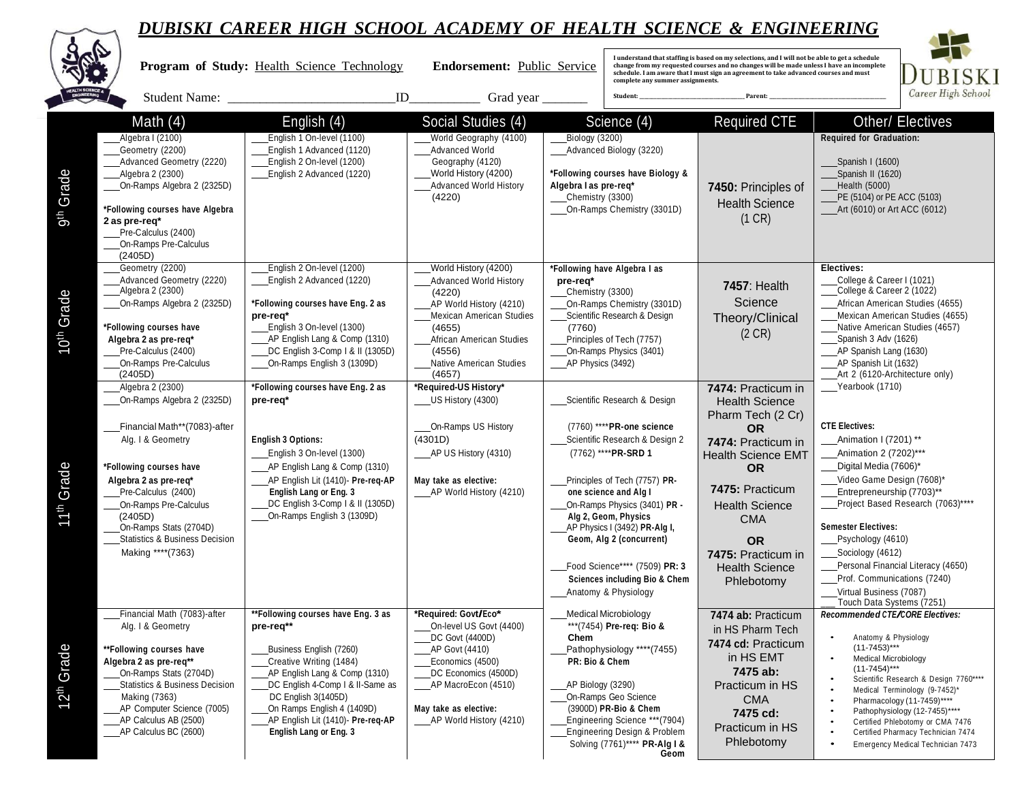|                           |                                                                                                                                                                                                                                                                                                                 | DUBISNI CAKEEK HIGH SCHOOL ACADEMI OF HEALIH SCIENCE & ENGINEEKING                                                                                                                                                                                                                             |                                                                                                                                                                                                                      |                                                             |                                                                                                                                                                                                                                                                                                                                                                                                          |                                                                                                                                                                                                                                                                                    |                                                                                                                                                                                                                                                                                                                                                                                                                               |
|---------------------------|-----------------------------------------------------------------------------------------------------------------------------------------------------------------------------------------------------------------------------------------------------------------------------------------------------------------|------------------------------------------------------------------------------------------------------------------------------------------------------------------------------------------------------------------------------------------------------------------------------------------------|----------------------------------------------------------------------------------------------------------------------------------------------------------------------------------------------------------------------|-------------------------------------------------------------|----------------------------------------------------------------------------------------------------------------------------------------------------------------------------------------------------------------------------------------------------------------------------------------------------------------------------------------------------------------------------------------------------------|------------------------------------------------------------------------------------------------------------------------------------------------------------------------------------------------------------------------------------------------------------------------------------|-------------------------------------------------------------------------------------------------------------------------------------------------------------------------------------------------------------------------------------------------------------------------------------------------------------------------------------------------------------------------------------------------------------------------------|
|                           |                                                                                                                                                                                                                                                                                                                 | Program of Study: Health Science Technology                                                                                                                                                                                                                                                    | Endorsement: Public Service                                                                                                                                                                                          |                                                             | complete any summer assignments.                                                                                                                                                                                                                                                                                                                                                                         | I understand that staffing is based on my selections, and I will not be able to get a schedule<br>change from my requested courses and no changes will be made unless I have an incomplete<br>schedule. I am aware that I must sign an agreement to take advanced courses and must | BISKI                                                                                                                                                                                                                                                                                                                                                                                                                         |
|                           | Student Name: _                                                                                                                                                                                                                                                                                                 | ID                                                                                                                                                                                                                                                                                             | Grad year $\overline{\phantom{a}}$                                                                                                                                                                                   |                                                             | Student:                                                                                                                                                                                                                                                                                                                                                                                                 | Parent:                                                                                                                                                                                                                                                                            | Career High School                                                                                                                                                                                                                                                                                                                                                                                                            |
| 9 <sup>th</sup> Grade     | Math $(4)$<br>Algebra I (2100)<br>Geometry (2200)<br>Advanced Geometry (2220)<br>Algebra 2 (2300)<br>On-Ramps Algebra 2 (2325D)<br>*Following courses have Algebra<br>2 as pre-req*                                                                                                                             | English (4)<br>English 1 On-level (1100)<br>English 1 Advanced (1120)<br>English 2 On-level (1200)<br>English 2 Advanced (1220)                                                                                                                                                                | Social Studies (4)<br>World Geography (4100)<br><b>Advanced World</b><br>Geography (4120)<br>World History (4200)<br><b>Advanced World History</b><br>(4220)                                                         | Biology (3200)<br>Algebra I as pre-req*<br>Chemistry (3300) | Science (4)<br>Advanced Biology (3220)<br>*Following courses have Biology &<br>On-Ramps Chemistry (3301D)                                                                                                                                                                                                                                                                                                | <b>Required CTE</b><br>7450: Principles of<br><b>Health Science</b><br>(1 CR)                                                                                                                                                                                                      | Other/ Electives<br><b>Required for Graduation:</b><br>Spanish I (1600)<br>Spanish II (1620)<br>Health (5000)<br>PE (5104) or PE ACC (5103)<br>____Art (6010) or Art ACC (6012)                                                                                                                                                                                                                                               |
| Grade<br>10 <sup>th</sup> | Pre-Calculus (2400)<br>On-Ramps Pre-Calculus<br>(2405D)<br>Geometry (2200)<br>Advanced Geometry (2220)<br>____Algebra 2 (2300)<br>On-Ramps Algebra 2 (2325D)<br>*Following courses have<br>Algebra 2 as pre-req*<br>Pre-Calculus (2400)<br>On-Ramps Pre-Calculus<br>(2405D)                                     | English 2 On-level (1200)<br>English 2 Advanced (1220)<br>*Following courses have Eng. 2 as<br>pre-req*<br>English 3 On-level (1300)<br>AP English Lang & Comp (1310)<br>DC English 3-Comp   & II (1305D)<br>On-Ramps English 3 (1309D)                                                        | World History (4200)<br><b>Advanced World History</b><br>(4220)<br>AP World History (4210)<br>Mexican American Studies<br>(4655)<br>African American Studies<br>(4556)<br><b>Native American Studies</b><br>(4657)   | pre-req*<br>Chemistry (3300)<br>(7760)<br>AP Physics (3492) | *Following have Algebra I as<br>On-Ramps Chemistry (3301D)<br>Scientific Research & Design<br>Principles of Tech (7757)<br>On-Ramps Physics (3401)                                                                                                                                                                                                                                                       | <b>7457: Health</b><br>Science<br>Theory/Clinical<br>(2 CR)                                                                                                                                                                                                                        | Electives:<br>College & Career I (1021)<br>College & Career 2 (1022)<br>African American Studies (4655)<br>Mexican American Studies (4655)<br>Native American Studies (4657)<br>Spanish 3 Adv (1626)<br>AP Spanish Lang (1630)<br>AP Spanish Lit (1632)<br>Art 2 (6120-Architecture only)                                                                                                                                     |
| 11 <sup>th</sup> Grade    | Algebra 2 (2300)<br>On-Ramps Algebra 2 (2325D)<br>Financial Math**(7083)-after<br>Alg. I & Geometry<br>*Following courses have<br>Algebra 2 as pre-req*<br>Pre-Calculus (2400)<br>On-Ramps Pre-Calculus<br>(2405D)<br>On-Ramps Stats (2704D)<br><b>Statistics &amp; Business Decision</b><br>Making **** (7363) | *Following courses have Eng. 2 as<br>pre-req*<br><b>English 3 Options:</b><br>English 3 On-level (1300)<br>_AP English Lang & Comp (1310)<br>AP English Lit (1410)- Pre-req-AP<br>English Lang or Eng. 3<br>DC English 3-Comp   & II (1305D)<br>On-Ramps English 3 (1309D)                     | *Required-US History*<br>US History (4300)<br>On-Ramps US History<br>(4301D)<br>AP US History (4310)<br>May take as elective:<br>____AP World History (4210)                                                         |                                                             | Scientific Research & Design<br>(7760) **** PR-one science<br>Scientific Research & Design 2<br>(7762) **** PR-SRD 1<br>Principles of Tech (7757) PR-<br>one science and Alg I<br>On-Ramps Physics (3401) PR -<br>Alg 2, Geom, Physics<br>AP Physics I (3492) PR-Alg I,<br>Geom, Alg 2 (concurrent)<br>Food Science**** (7509) PR: 3<br><b>Sciences including Bio &amp; Chem</b><br>Anatomy & Physiology | 7474: Practicum in<br><b>Health Science</b><br>Pharm Tech (2 Cr)<br><b>OR</b><br>7474: Practicum in<br><b>Health Science EMT</b><br><b>OR</b><br>7475: Practicum<br><b>Health Science</b><br><b>CMA</b><br><b>OR</b><br>7475: Practicum in<br><b>Health Science</b><br>Phlebotomy  | Yearbook (1710)<br><b>CTE Electives:</b><br>Animation I (7201) **<br><b>Animation 2 (7202)***</b><br>Digital Media (7606)*<br>Video Game Design (7608)*<br>Entrepreneurship (7703)**<br>Project Based Research (7063)****<br><b>Semester Electives:</b><br>Psychology (4610)<br>Sociology (4612)<br>Personal Financial Literacy (4650)<br>Prof. Communications (7240)<br>Virtual Business (7087)<br>Touch Data Systems (7251) |
| 12 <sup>th</sup> Grade    | Financial Math (7083)-after<br>Alg. I & Geometry<br>**Following courses have<br>Algebra 2 as pre-req**<br>On-Ramps Stats (2704D)<br><b>Statistics &amp; Business Decision</b><br>Making (7363)<br>AP Computer Science (7005)<br>AP Calculus AB (2500)<br>____AP Calculus BC (2600)                              | **Following courses have Eng. 3 as<br>pre-req**<br>Business English (7260)<br>Creative Writing (1484)<br>AP English Lang & Comp (1310)<br>DC English 4-Comp I & II-Same as<br>DC English 3(1405D)<br>On Ramps English 4 (1409D)<br>AP English Lit (1410)- Pre-reg-AP<br>English Lang or Eng. 3 | *Required: Govt/Eco*<br>On-level US Govt (4400)<br>DC Govt (4400D)<br>_AP Govt (4410)<br>Economics (4500)<br>DC Economics (4500D)<br>____AP MacroEcon (4510)<br>May take as elective:<br>____AP World History (4210) | Chem<br>PR: Bio & Chem<br>AP Biology (3290)                 | <b>Medical Microbiology</b><br>*** (7454) Pre-reg: Bio &<br>Pathophysiology **** (7455)<br>On-Ramps Geo Science<br>(3900D) PR-Bio & Chem<br>Engineering Science *** (7904)<br>Engineering Design & Problem<br>Solving (7761)**** PR-Alg I &<br>Geom                                                                                                                                                      | 7474 ab: Practicum<br>in HS Pharm Tech<br>7474 cd: Practicum<br>in HS EMT<br>7475 ab:<br>Practicum in HS<br><b>CMA</b><br>7475 cd:<br>Practicum in HS<br>Phlebotomy                                                                                                                | Recommended CTE/CORE Electives:<br>Anatomy & Physiology<br>$(11-7453)***$<br><b>Medical Microbiology</b><br>$(11-7454)***$<br>Scientific Research & Design 7760****<br>Medical Terminology (9-7452)*<br>Pharmacology (11-7459)****<br>Pathophysiology (12-7455)****<br>Certified Phlebotomy or CMA 7476<br>Certified Pharmacy Technician 7474<br>Emergency Medical Technician 7473                                            |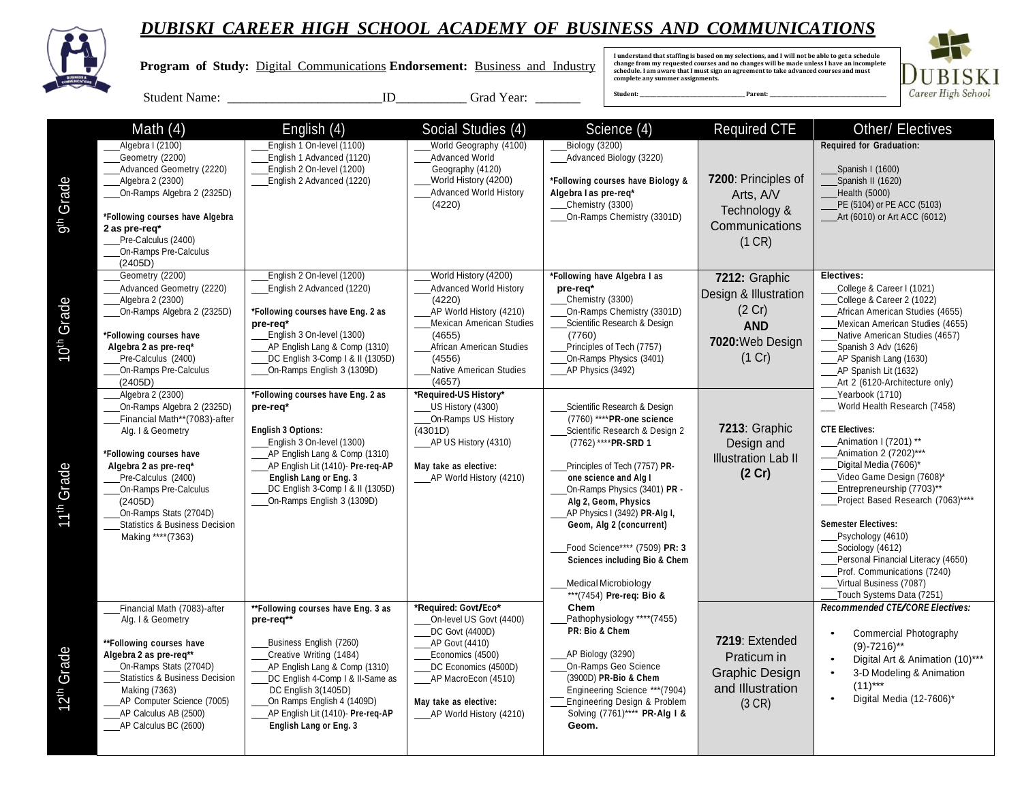

 **Program of Study:** Digital Communications **Endorsement:** Business and Industry

**I understand that staffing is based on my selections, and I will not be able to get a schedule change from my requested courses and no changes will be made unless I have an incomplete schedule. I am aware that I must sign an agreement to take advanced courses and must complete any summer assignments.** 



Student Name: \_\_\_\_\_\_\_\_\_\_\_\_\_\_\_\_\_\_\_\_\_\_\_\_ID\_\_\_\_\_\_\_\_\_\_\_ Grad Year: \_\_\_\_\_\_\_

|                        | Math $(4)$                                       | English (4)                                                        | Social Studies (4)                          | Science (4)                               | <b>Required CTE</b>        | <b>Other/ Electives</b>                                           |
|------------------------|--------------------------------------------------|--------------------------------------------------------------------|---------------------------------------------|-------------------------------------------|----------------------------|-------------------------------------------------------------------|
|                        | Algebra I (2100)                                 | English 1 On-level (1100)                                          | World Geography (4100)                      | <b>Biology (3200)</b>                     |                            | Required for Graduation:                                          |
|                        | Geometry (2200)                                  | English 1 Advanced (1120)                                          | Advanced World                              | Advanced Biology (3220)                   |                            |                                                                   |
|                        | Advanced Geometry (2220)                         | English 2 On-level (1200)                                          | Geography (4120)                            |                                           |                            | Spanish I (1600)                                                  |
|                        | Algebra 2 (2300)                                 | English 2 Advanced (1220)                                          | World History (4200)                        | *Following courses have Biology &         | 7200: Principles of        | Spanish II (1620)                                                 |
|                        | On-Ramps Algebra 2 (2325D)                       |                                                                    | <b>Advanced World History</b>               | Algebra I as pre-req*                     | Arts, A/V                  | Health (5000)                                                     |
| Grade                  |                                                  |                                                                    | (4220)                                      | Chemistry (3300)                          | Technology &               | PE (5104) or PE ACC (5103)                                        |
| 5h                     | *Following courses have Algebra<br>2 as pre-req* |                                                                    |                                             | On-Ramps Chemistry (3301D)                | Communications             | Art (6010) or Art ACC (6012)                                      |
|                        | Pre-Calculus (2400)                              |                                                                    |                                             |                                           | (1 CR)                     |                                                                   |
|                        | On-Ramps Pre-Calculus                            |                                                                    |                                             |                                           |                            |                                                                   |
|                        | (2405D)                                          |                                                                    |                                             |                                           |                            |                                                                   |
|                        | Geometry (2200)                                  | English 2 On-level (1200)                                          | World History (4200)                        | *Following have Algebra I as              | 7212: Graphic              | Electives:                                                        |
|                        | Advanced Geometry (2220)                         | English 2 Advanced (1220)                                          | <b>Advanced World History</b>               | pre-req*                                  | Design & Illustration      | College & Career I (1021)                                         |
|                        | Algebra 2 (2300)                                 |                                                                    | (4220)                                      | Chemistry (3300)                          |                            | College & Career 2 (1022)                                         |
|                        | On-Ramps Algebra 2 (2325D)                       | *Following courses have Eng. 2 as                                  | AP World History (4210)                     | On-Ramps Chemistry (3301D)                | (2 Cr)                     | African American Studies (4655)                                   |
|                        |                                                  | pre-req*                                                           | <b>Mexican American Studies</b>             | Scientific Research & Design              | <b>AND</b>                 | Mexican American Studies (4655)                                   |
|                        | *Following courses have<br>Algebra 2 as pre-reg* | English 3 On-level (1300)<br>AP English Lang & Comp (1310)         | (4655)<br>African American Studies          | (7760)<br>Principles of Tech (7757)       | 7020: Web Design           | Native American Studies (4657)                                    |
| 10 <sup>th</sup> Grade | Pre-Calculus (2400)                              | DC English 3-Comp   & II (1305D)                                   | (4556)                                      | On-Ramps Physics (3401)                   | (1 Cr)                     | Spanish 3 Adv (1626)<br>AP Spanish Lang (1630)                    |
|                        | On-Ramps Pre-Calculus                            | On-Ramps English 3 (1309D)                                         | Native American Studies                     | AP Physics (3492)                         |                            | AP Spanish Lit (1632)                                             |
|                        | (2405D)                                          |                                                                    | (4657)                                      |                                           |                            | Art 2 (6120-Architecture only)                                    |
|                        | Algebra 2 (2300)                                 | *Following courses have Eng. 2 as                                  | *Required-US History*                       |                                           |                            | Yearbook (1710)                                                   |
|                        | On-Ramps Algebra 2 (2325D)                       | pre-req*                                                           | US History (4300)                           | Scientific Research & Design              |                            | World Health Research (7458)                                      |
|                        | Financial Math**(7083)-after                     |                                                                    | On-Ramps US History                         | (7760) **** PR-one science                |                            |                                                                   |
|                        | Alg. I & Geometry                                | <b>English 3 Options:</b>                                          | (4301D)                                     | Scientific Research & Design 2            | 7213: Graphic              | <b>CTE Electives:</b>                                             |
|                        |                                                  | English 3 On-level (1300)                                          | AP US History (4310)                        | (7762) **** PR-SRD 1                      | Design and                 | Animation I (7201) **<br>Animation 2 (7202)***                    |
|                        | *Following courses have<br>Algebra 2 as pre-reg* | AP English Lang & Comp (1310)<br>AP English Lit (1410)- Pre-req-AP | May take as elective:                       | Principles of Tech (7757) PR-             | <b>Illustration Lab II</b> | Digital Media (7606)*                                             |
|                        | Pre-Calculus (2400)                              | <b>English Lang or Eng. 3</b>                                      | AP World History (4210)                     | one science and Alg I                     | (2 Cr)                     | Video Game Design (7608)*                                         |
| Grade                  | On-Ramps Pre-Calculus                            | DC English 3-Comp   & II (1305D)                                   |                                             | On-Ramps Physics (3401) PR -              |                            | Entrepreneurship (7703)**                                         |
|                        | (2405D)                                          | On-Ramps English 3 (1309D)                                         |                                             | Alg 2, Geom, Physics                      |                            | Project Based Research (7063)****                                 |
| <b>ENDER</b>           | On-Ramps Stats (2704D)                           |                                                                    |                                             | AP Physics I (3492) PR-Alg I,             |                            |                                                                   |
|                        | <b>Statistics &amp; Business Decision</b>        |                                                                    |                                             | Geom, Alg 2 (concurrent)                  |                            | <b>Semester Electives:</b>                                        |
|                        | Making **** (7363)                               |                                                                    |                                             |                                           |                            | Psychology (4610)                                                 |
|                        |                                                  |                                                                    |                                             | Food Science**** (7509) PR: 3             |                            | Sociology (4612)                                                  |
|                        |                                                  |                                                                    |                                             | <b>Sciences including Bio &amp; Chem</b>  |                            | Personal Financial Literacy (4650)<br>Prof. Communications (7240) |
|                        |                                                  |                                                                    |                                             | Medical Microbiology                      |                            | Virtual Business (7087)                                           |
|                        |                                                  |                                                                    |                                             | *** (7454) Pre-req: Bio &                 |                            | Touch Systems Data (7251)                                         |
|                        | Financial Math (7083)-after                      | **Following courses have Eng. 3 as                                 | *Reauired: Govt/Eco*                        | Chem                                      |                            | Recommended CTE/CORE Electives:                                   |
|                        | Alg. I & Geometry                                | pre-req**                                                          | On-level US Govt (4400)                     | Pathophysiology ****(7455)                |                            |                                                                   |
|                        |                                                  |                                                                    | DC Govt (4400D)                             | PR: Bio & Chem                            |                            | Commercial Photography                                            |
|                        | **Following courses have                         | Business English (7260)                                            | AP Govt (4410)                              |                                           | 7219: Extended             | $(9) - 7216$ <sup>**</sup>                                        |
| Grade                  | Algebra 2 as pre-reg**<br>On-Ramps Stats (2704D) | Creative Writing (1484)                                            | Economics (4500)                            | AP Biology (3290)<br>On-Ramps Geo Science | Praticum in                | Digital Art & Animation (10)***                                   |
|                        | <b>Statistics &amp; Business Decision</b>        | AP English Lang & Comp (1310)<br>DC English 4-Comp   & II-Same as  | DC Economics (4500D)<br>AP MacroEcon (4510) | (3900D) PR-Bio & Chem                     | Graphic Design             | 3-D Modeling & Animation                                          |
|                        | <b>Making (7363)</b>                             | DC English 3(1405D)                                                |                                             | Engineering Science *** (7904)            | and Illustration           | $(11)***$                                                         |
| 12 <sup>th</sup>       | AP Computer Science (7005)                       | On Ramps English 4 (1409D)                                         | May take as elective:                       | Engineering Design & Problem              | (3 CR)                     | Digital Media (12-7606)*                                          |
|                        | AP Calculus AB (2500)                            | AP English Lit (1410)- Pre-req-AP                                  | AP World History (4210)                     | Solving (7761)**** PR-Alg I &             |                            |                                                                   |
|                        | _AP Calculus BC (2600)                           | English Lang or Eng. 3                                             |                                             | Geom.                                     |                            |                                                                   |
|                        |                                                  |                                                                    |                                             |                                           |                            |                                                                   |
|                        |                                                  |                                                                    |                                             |                                           |                            |                                                                   |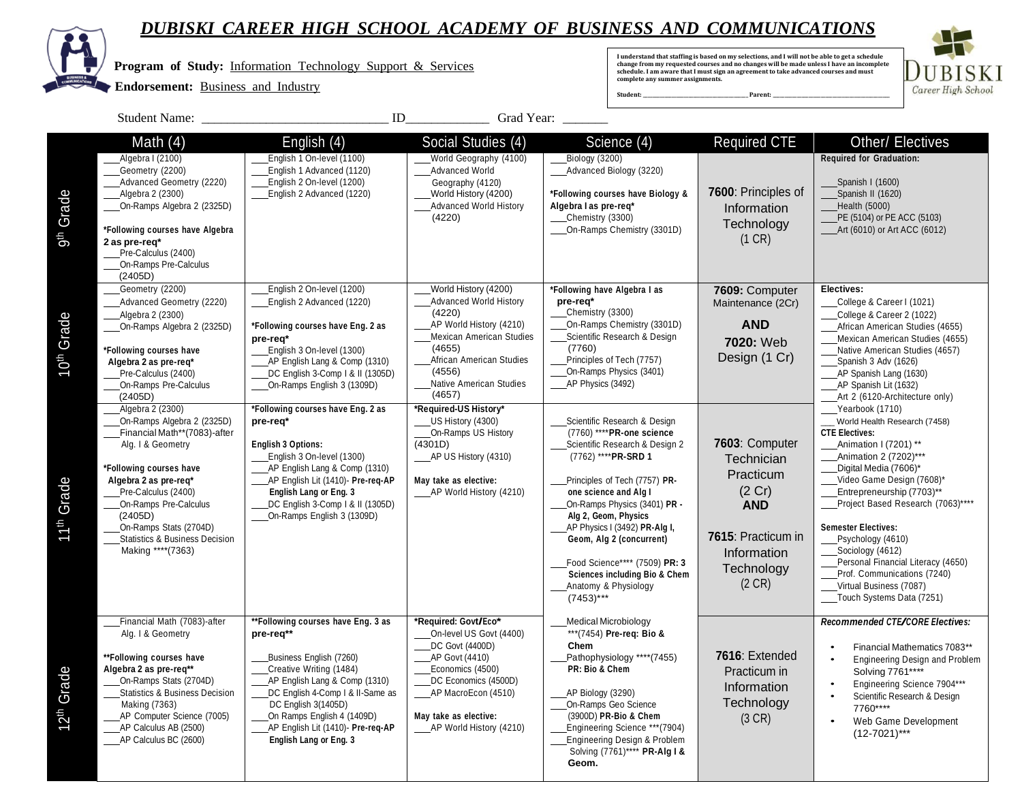

**ALL** 

|                        | Program of Study: Information Technology Support & Services<br><b>Endorsement:</b> Business and Industry                                                                                                                                                                                                        |                                                                                                                                                                                                                                                                                                | I understand that staffing is based on my selections, and I will not be able to get a schedule<br>change from my requested courses and no changes will be made unless I have an incomplete<br>schedule. I am aware that I must sign an agreement to take advanced courses and must<br>complete any summer assignments.<br>Student:<br>Parent: |                                                             |                                                                                                                                                                                                                                                                                                                                                                                                          | <b>BISKI</b><br>Career High School                                                                                                       |                                                                                                                                                                                                                                                                                                                                                                                                                                                        |                                                                                                                                                       |
|------------------------|-----------------------------------------------------------------------------------------------------------------------------------------------------------------------------------------------------------------------------------------------------------------------------------------------------------------|------------------------------------------------------------------------------------------------------------------------------------------------------------------------------------------------------------------------------------------------------------------------------------------------|-----------------------------------------------------------------------------------------------------------------------------------------------------------------------------------------------------------------------------------------------------------------------------------------------------------------------------------------------|-------------------------------------------------------------|----------------------------------------------------------------------------------------------------------------------------------------------------------------------------------------------------------------------------------------------------------------------------------------------------------------------------------------------------------------------------------------------------------|------------------------------------------------------------------------------------------------------------------------------------------|--------------------------------------------------------------------------------------------------------------------------------------------------------------------------------------------------------------------------------------------------------------------------------------------------------------------------------------------------------------------------------------------------------------------------------------------------------|-------------------------------------------------------------------------------------------------------------------------------------------------------|
|                        | <b>Student Name:</b>                                                                                                                                                                                                                                                                                            | ID                                                                                                                                                                                                                                                                                             | Grad Year:                                                                                                                                                                                                                                                                                                                                    |                                                             |                                                                                                                                                                                                                                                                                                                                                                                                          |                                                                                                                                          |                                                                                                                                                                                                                                                                                                                                                                                                                                                        |                                                                                                                                                       |
| 9 <sup>th</sup> Grade  | Math $(4)$<br>_Algebra I (2100)<br>Geometry (2200)<br>Advanced Geometry (2220)<br>Algebra 2 (2300)<br>On-Ramps Algebra 2 (2325D)<br>*Following courses have Algebra<br>2 as pre-req*<br>Pre-Calculus (2400)                                                                                                     | English (4)<br>English 1 On-level (1100)<br>English 1 Advanced (1120)<br>English 2 On-level (1200)<br>English 2 Advanced (1220)                                                                                                                                                                | Social Studies (4)<br>World Geography (4100)<br><b>Advanced World</b><br>Geography (4120)<br>World History (4200)<br><b>Advanced World History</b><br>(4220)                                                                                                                                                                                  | Biology (3200)<br>Algebra I as pre-req*<br>Chemistry (3300) | Science $(4)$<br>_Advanced Biology (3220)<br>*Following courses have Biology &<br>On-Ramps Chemistry (3301D)                                                                                                                                                                                                                                                                                             | <b>Required CTE</b><br>7600: Principles of<br>Information<br>Technology<br>(1 CR)                                                        | Other/ Electives<br><b>Required for Graduation:</b><br>Spanish I (1600)<br>Spanish II (1620)<br>Health (5000)<br>PE (5104) or PE ACC (5103)<br>___Art (6010) or Art ACC (6012)                                                                                                                                                                                                                                                                         |                                                                                                                                                       |
| O <sup>th</sup> Grade  | On-Ramps Pre-Calculus<br>(2405D)<br>Geometry (2200)<br>___Advanced Geometry (2220)<br>Algebra 2 (2300)<br>On-Ramps Algebra 2 (2325D)<br>*Following courses have<br>Algebra 2 as pre-req*<br>Pre-Calculus (2400)<br>On-Ramps Pre-Calculus<br>(2405D)                                                             | English 2 On-level (1200)<br>English 2 Advanced (1220)<br>*Following courses have Eng. 2 as<br>pre-req*<br>English 3 On-level (1300)<br>AP English Lang & Comp (1310)<br>DC English 3-Comp   & II (1305D)<br>On-Ramps English 3 (1309D)                                                        | World History (4200)<br><b>Advanced World History</b><br>(4220)<br>AP World History (4210)<br><b>Mexican American Studies</b><br>(4655)<br>African American Studies<br>(4556)<br><b>Native American Studies</b><br>(4657)                                                                                                                     | pre-req*<br>Chemistry (3300)<br>(7760)<br>AP Physics (3492) | *Following have Algebra I as<br>On-Ramps Chemistry (3301D)<br>Scientific Research & Design<br>Principles of Tech (7757)<br>On-Ramps Physics (3401)                                                                                                                                                                                                                                                       | 7609: Computer<br>Maintenance (2Cr)<br><b>AND</b><br>7020: Web<br>Design (1 Cr)                                                          | Electives:<br>College & Career I (1021)<br>College & Career 2 (1022)<br>African American Studies (4655)<br>Mexican American Studies (4655)<br>Native American Studies (4657)<br>Spanish 3 Adv (1626)<br>AP Spanish Lang (1630)<br>AP Spanish Lit (1632)<br>Art 2 (6120-Architecture only)                                                                                                                                                              |                                                                                                                                                       |
| 11 <sup>th</sup> Grade | Algebra 2 (2300)<br>On-Ramps Algebra 2 (2325D)<br>Financial Math**(7083)-after<br>Alg. I & Geometry<br>*Following courses have<br>Algebra 2 as pre-req*<br>Pre-Calculus (2400)<br>On-Ramps Pre-Calculus<br>(2405D)<br>On-Ramps Stats (2704D)<br><b>Statistics &amp; Business Decision</b><br>Making **** (7363) | *Following courses have Eng. 2 as<br>pre-req*<br><b>English 3 Options:</b><br>English 3 On-level (1300)<br>AP English Lang & Comp (1310)<br>AP English Lit (1410)- Pre-req-AP<br>English Lang or Eng. 3<br>DC English 3-Comp   & II (1305D)<br>On-Ramps English 3 (1309D)                      | *Required-US History*<br>US History (4300)<br>On-Ramps US History<br>(4301D)<br>____AP US History (4310)<br>May take as elective:<br>AP World History (4210)                                                                                                                                                                                  | $(7453)***$                                                 | Scientific Research & Design<br>(7760) **** PR-one science<br>Scientific Research & Design 2<br>(7762) **** PR-SRD 1<br>Principles of Tech (7757) PR-<br>one science and Alg I<br>On-Ramps Physics (3401) PR -<br>Alg 2, Geom, Physics<br>AP Physics I (3492) PR-Alg I,<br>Geom, Alg 2 (concurrent)<br>Food Science**** (7509) PR: 3<br><b>Sciences including Bio &amp; Chem</b><br>Anatomy & Physiology | 7603: Computer<br>Technician<br>Practicum<br>(2 Cr)<br><b>AND</b><br>7615: Practicum in<br>Information<br>Technology<br>$(2 \text{ CR})$ | Yearbook (1710)<br>World Health Research (7458)<br><b>CTE Electives:</b><br>Animation I (7201) **<br>Animation 2 (7202)***<br>Digital Media (7606)*<br>Video Game Design (7608)*<br>Entrepreneurship (7703)**<br>Project Based Research (7063)****<br><b>Semester Electives:</b><br>Psychology (4610)<br>Sociology (4612)<br>Personal Financial Literacy (4650)<br>Prof. Communications (7240)<br>Virtual Business (7087)<br>Touch Systems Data (7251) |                                                                                                                                                       |
| 12 <sup>th</sup> Grade | Financial Math (7083)-after<br>Alg. I & Geometry<br>**Following courses have<br>Algebra 2 as pre-req**<br>On-Ramps Stats (2704D)<br><b>Statistics &amp; Business Decision</b><br>Making (7363)<br>AP Computer Science (7005)<br>AP Calculus AB (2500)<br>____AP Calculus BC (2600)                              | **Following courses have Eng. 3 as<br>pre-req**<br>Business English (7260)<br>Creative Writing (1484)<br>AP English Lang & Comp (1310)<br>DC English 4-Comp I & II-Same as<br>DC English 3(1405D)<br>On Ramps English 4 (1409D)<br>AP English Lit (1410)- Pre-req-AP<br>English Lang or Eng. 3 | *Required: Govt/Eco*<br>On-level US Govt (4400)<br>DC Govt (4400D)<br>AP Govt (4410)<br>Economics (4500)<br>DC Economics (4500D)<br>AP MacroEcon (4510)<br>May take as elective:<br>_____ AP World History (4210)                                                                                                                             | Chem<br>PR: Bio & Chem<br>AP Biology (3290)                 | <b>Medical Microbiology</b><br>***(7454) Pre-reg: Bio &<br>Pathophysiology **** (7455)<br>On-Ramps Geo Science<br>(3900D) PR-Bio & Chem<br>Engineering Science *** (7904)<br>Engineering Design & Problem<br>Solving (7761)**** PR-Alg I &                                                                                                                                                               | 7616: Extended<br>Practicum in<br>Information<br>Technology<br>(3 CR)                                                                    | Recommended CTE/CORE Electives:<br>Solving 7761****<br>7760****<br>$\bullet$<br>$(12-7021)$ ***                                                                                                                                                                                                                                                                                                                                                        | Financial Mathematics 7083**<br>Engineering Design and Problem<br>Engineering Science 7904***<br>Scientific Research & Design<br>Web Game Development |

**Geom.**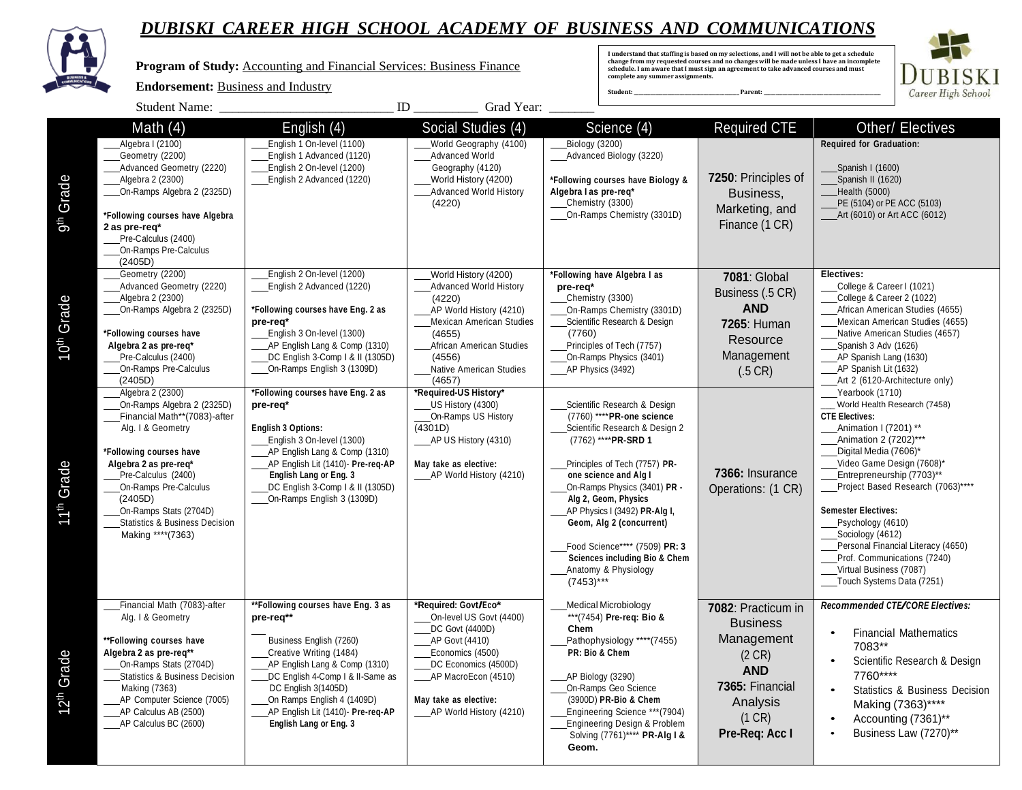

**Program of Study:** Accounting and Financial Services: Business Finance

#### **Endorsement:** Business and Industry

I understand that staffing is based on my selections, and I will not be able to get a schedule<br>change from my requested courses and no changes will be made unless I have an incomplete<br>schedule. I am aware that I must sign



|                                              | <b>Student Name:</b>                                                                                                                                                                                                                                                                                                                                                                                                                                                                                                            | ID                                                                                                                                                                                                                                                                                                                                                                                                                                                                                                                   | Grad Year:                                                                                                                                                                                                                                                                                                                                                                      |                                                                                                                                                                                                                                                                                                                                                                                                                                                                                                                                                                                                                                              |                                                                                                                                                         |                                                                                                                                                                                                                                                                                                                                                                                                                                                                                                                                                                                                                                                                                                                                                     |
|----------------------------------------------|---------------------------------------------------------------------------------------------------------------------------------------------------------------------------------------------------------------------------------------------------------------------------------------------------------------------------------------------------------------------------------------------------------------------------------------------------------------------------------------------------------------------------------|----------------------------------------------------------------------------------------------------------------------------------------------------------------------------------------------------------------------------------------------------------------------------------------------------------------------------------------------------------------------------------------------------------------------------------------------------------------------------------------------------------------------|---------------------------------------------------------------------------------------------------------------------------------------------------------------------------------------------------------------------------------------------------------------------------------------------------------------------------------------------------------------------------------|----------------------------------------------------------------------------------------------------------------------------------------------------------------------------------------------------------------------------------------------------------------------------------------------------------------------------------------------------------------------------------------------------------------------------------------------------------------------------------------------------------------------------------------------------------------------------------------------------------------------------------------------|---------------------------------------------------------------------------------------------------------------------------------------------------------|-----------------------------------------------------------------------------------------------------------------------------------------------------------------------------------------------------------------------------------------------------------------------------------------------------------------------------------------------------------------------------------------------------------------------------------------------------------------------------------------------------------------------------------------------------------------------------------------------------------------------------------------------------------------------------------------------------------------------------------------------------|
| Grade<br>g <sup>th</sup>                     | Math $(4)$<br>Algebra I (2100)<br>Geometry (2200)<br>Advanced Geometry (2220)<br>Algebra 2 (2300)<br>On-Ramps Algebra 2 (2325D)<br>*Following courses have Algebra<br>2 as pre-req*<br>Pre-Calculus (2400)<br>On-Ramps Pre-Calculus<br>(2405D)                                                                                                                                                                                                                                                                                  | English $(4)$<br>English 1 On-level (1100)<br>English 1 Advanced (1120)<br>English 2 On-level (1200)<br>English 2 Advanced (1220)                                                                                                                                                                                                                                                                                                                                                                                    | Social Studies (4)<br>World Geography (4100)<br>Advanced World<br>Geography (4120)<br>World History (4200)<br><b>Advanced World History</b><br>(4220)                                                                                                                                                                                                                           | Science $\overline{(4)}$<br>Biology (3200)<br>Advanced Biology (3220)<br>*Following courses have Biology &<br>Algebra I as pre-reg*<br>Chemistry (3300)<br>On-Ramps Chemistry (3301D)                                                                                                                                                                                                                                                                                                                                                                                                                                                        | <b>Required CTE</b><br>7250: Principles of<br>Business,<br>Marketing, and<br>Finance (1 CR)                                                             | <b>Other/ Electives</b><br><b>Required for Graduation:</b><br>Spanish I (1600)<br>Spanish II (1620)<br>Health (5000)<br>PE (5104) or PE ACC (5103)<br>_Art (6010) or Art ACC (6012)                                                                                                                                                                                                                                                                                                                                                                                                                                                                                                                                                                 |
| Grade<br>$10^{th}$<br>11 <sup>th</sup> Grade | Geometry (2200)<br>Advanced Geometry (2220)<br>Algebra 2 (2300)<br>On-Ramps Algebra 2 (2325D)<br>*Following courses have<br>Algebra 2 as pre-req*<br>Pre-Calculus (2400)<br>On-Ramps Pre-Calculus<br>(2405D)<br>Algebra 2 (2300)<br>On-Ramps Algebra 2 (2325D)<br>Financial Math**(7083)-after<br>Alg. I & Geometry<br>*Following courses have<br>Algebra 2 as pre-reg*<br>Pre-Calculus (2400)<br>On-Ramps Pre-Calculus<br>(2405D)<br>On-Ramps Stats (2704D)<br><b>Statistics &amp; Business Decision</b><br>Making **** (7363) | English 2 On-level (1200)<br>English 2 Advanced (1220)<br>*Following courses have Eng. 2 as<br>pre-req*<br>English 3 On-level (1300)<br>AP English Lang & Comp (1310)<br>DC English 3-Comp   & II (1305D)<br>On-Ramps English 3 (1309D)<br>*Following courses have Eng. 2 as<br>pre-req*<br><b>English 3 Options:</b><br>English 3 On-level (1300)<br>AP English Lang & Comp (1310)<br>AP English Lit (1410)- Pre-reg-AP<br>English Lang or Eng. 3<br>DC English 3-Comp   & II (1305D)<br>On-Ramps English 3 (1309D) | World History (4200)<br><b>Advanced World History</b><br>(4220)<br>AP World History (4210)<br><b>Mexican American Studies</b><br>(4655)<br>African American Studies<br>(4556)<br>Native American Studies<br>(4657)<br>*Required-US History*<br>US History (4300)<br>On-Ramps US History<br>(4301D)<br>_AP US History (4310)<br>May take as elective:<br>AP World History (4210) | *Following have Algebra I as<br>pre-req*<br>Chemistry (3300)<br>On-Ramps Chemistry (3301D)<br>Scientific Research & Design<br>(7760)<br>Principles of Tech (7757)<br>On-Ramps Physics (3401)<br>AP Physics (3492)<br>Scientific Research & Design<br>(7760) **** PR-one science<br>Scientific Research & Design 2<br>(7762) **** PR-SRD 1<br>Principles of Tech (7757) PR-<br>one science and Alg I<br>On-Ramps Physics (3401) PR -<br>Alg 2, Geom, Physics<br>AP Physics I (3492) PR-Alg I,<br>Geom, Alg 2 (concurrent)<br>Food Science**** (7509) PR: 3<br><b>Sciences including Bio &amp; Chem</b><br>Anatomy & Physiology<br>$(7453)***$ | <b>7081: Global</b><br>Business (.5 CR)<br><b>AND</b><br>7265: Human<br>Resource<br>Management<br>$(.5 \, CR)$<br>7366: Insurance<br>Operations: (1 CR) | Electives:<br>College & Career I (1021)<br>College & Career 2 (1022)<br>African American Studies (4655)<br>Mexican American Studies (4655)<br>Native American Studies (4657)<br>Spanish 3 Adv (1626)<br>AP Spanish Lang (1630)<br>AP Spanish Lit (1632)<br>Art 2 (6120-Architecture only)<br>Yearbook (1710)<br>World Health Research (7458)<br><b>CTE Electives:</b><br>Animation I (7201) **<br>Animation 2 (7202)***<br>Digital Media (7606)*<br>Video Game Design (7608)*<br>Entrepreneurship (7703)**<br>Project Based Research (7063)****<br><b>Semester Electives:</b><br>Psychology (4610)<br>Sociology (4612)<br>Personal Financial Literacy (4650)<br>Prof. Communications (7240)<br>Virtual Business (7087)<br>Touch Systems Data (7251) |
| Grade<br>12 <sup>th</sup>                    | Financial Math (7083)-after<br>Alg. I & Geometry<br>**Following courses have<br>Algebra 2 as pre-req**<br>On-Ramps Stats (2704D)<br><b>Statistics &amp; Business Decision</b><br>Making (7363)<br>AP Computer Science (7005)<br>_AP Calculus AB (2500)<br>_____ AP Calculus BC (2600)                                                                                                                                                                                                                                           | **Following courses have Eng. 3 as<br>pre-req**<br>Business English (7260)<br>Creative Writing (1484)<br>AP English Lang & Comp (1310)<br>DC English 4-Comp I & II-Same as<br>DC English 3(1405D)<br>On Ramps English 4 (1409D)<br>AP English Lit (1410)- Pre-req-AP<br>English Lang or Eng. 3                                                                                                                                                                                                                       | *Required: Govt/Eco*<br>On-level US Govt (4400)<br>DC Govt (4400D)<br>AP Govt (4410)<br>Economics (4500)<br>DC Economics (4500D)<br>_AP MacroEcon (4510)<br>May take as elective:<br>____AP World History (4210)                                                                                                                                                                | <b>Medical Microbiology</b><br>*** (7454) Pre-reg: Bio &<br>Chem<br>Pathophysiology ****(7455)<br>PR: Bio & Chem<br>AP Biology (3290)<br>On-Ramps Geo Science<br>(3900D) PR-Bio & Chem<br>Engineering Science *** (7904)<br>Engineering Design & Problem<br>Solving (7761)**** PR-Alg I &<br>Geom.                                                                                                                                                                                                                                                                                                                                           | 7082: Practicum in<br><b>Business</b><br>Management<br>$(2 \text{ CR})$<br><b>AND</b><br>7365: Financial<br>Analysis<br>(1 CR)<br>Pre-Req: Acc I        | Recommended CTE/CORE Electives:<br><b>Financial Mathematics</b><br>$\bullet$<br>7083**<br>Scientific Research & Design<br>$\bullet$<br>7760****<br>$\bullet$<br>Statistics & Business Decision<br>Making (7363)****<br>Accounting (7361)**<br>$\bullet$<br>Business Law (7270)**                                                                                                                                                                                                                                                                                                                                                                                                                                                                    |